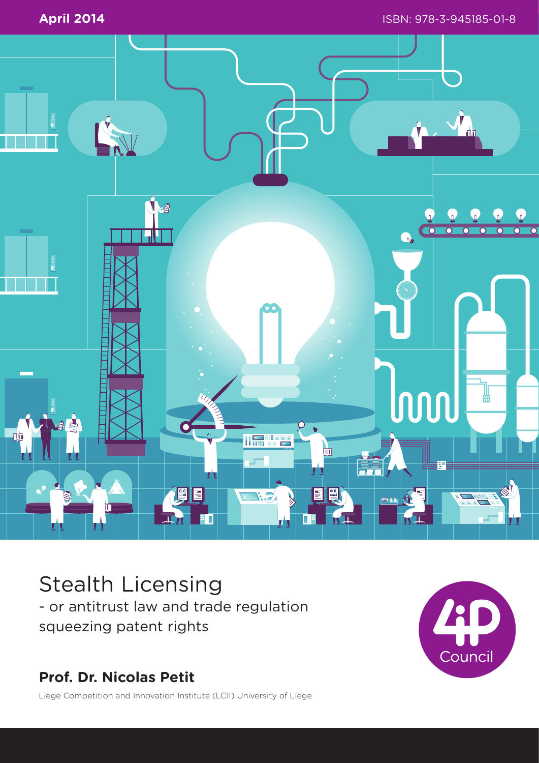

# Stealth Licensing

- or antitrust law and trade regulation squeezing patent rights

# **Prof. Dr. Nicolas Petit**



Liege Competition and Innovation Institute (LCII) University of Liege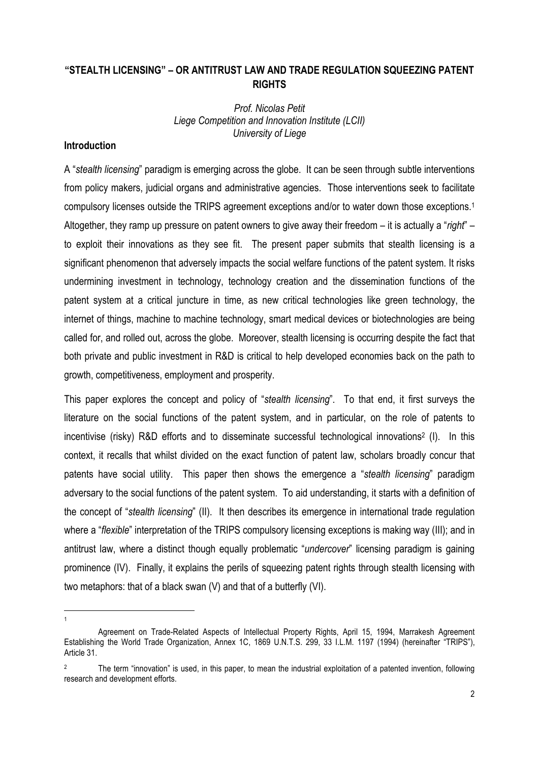# **"STEALTH LICENSING" – OR ANTITRUST LAW AND TRADE REGULATION SQUEEZING PATENT RIGHTS**

#### *Prof. Nicolas Petit Liege Competition and Innovation Institute (LCII) University of Liege*

# **Introduction**

1 1

A "*stealth licensing*" paradigm is emerging across the globe. It can be seen through subtle interventions from policy makers, judicial organs and administrative agencies. Those interventions seek to facilitate compulsory licenses outside the TRIPS agreement exceptions and/or to water down those exceptions.1 Altogether, they ramp up pressure on patent owners to give away their freedom – it is actually a "*right*" – to exploit their innovations as they see fit. The present paper submits that stealth licensing is a significant phenomenon that adversely impacts the social welfare functions of the patent system. It risks undermining investment in technology, technology creation and the dissemination functions of the patent system at a critical juncture in time, as new critical technologies like green technology, the internet of things, machine to machine technology, smart medical devices or biotechnologies are being called for, and rolled out, across the globe. Moreover, stealth licensing is occurring despite the fact that both private and public investment in R&D is critical to help developed economies back on the path to growth, competitiveness, employment and prosperity.

This paper explores the concept and policy of "*stealth licensing*". To that end, it first surveys the literature on the social functions of the patent system, and in particular, on the role of patents to incentivise (risky) R&D efforts and to disseminate successful technological innovations<sup>2</sup> (I). In this context, it recalls that whilst divided on the exact function of patent law, scholars broadly concur that patents have social utility. This paper then shows the emergence a "*stealth licensing*" paradigm adversary to the social functions of the patent system. To aid understanding, it starts with a definition of the concept of "*stealth licensing*" (II). It then describes its emergence in international trade regulation where a "*flexible*" interpretation of the TRIPS compulsory licensing exceptions is making way (III); and in antitrust law, where a distinct though equally problematic "*undercover*" licensing paradigm is gaining prominence (IV). Finally, it explains the perils of squeezing patent rights through stealth licensing with two metaphors: that of a black swan (V) and that of a butterfly (VI).

Agreement on Trade-Related Aspects of Intellectual Property Rights, April 15, 1994, Marrakesh Agreement Establishing the World Trade Organization, Annex 1C, 1869 U.N.T.S. 299, 33 I.L.M. 1197 (1994) (hereinafter "TRIPS"), Article 31.

<sup>&</sup>lt;sup>2</sup> The term "innovation" is used, in this paper, to mean the industrial exploitation of a patented invention, following research and development efforts.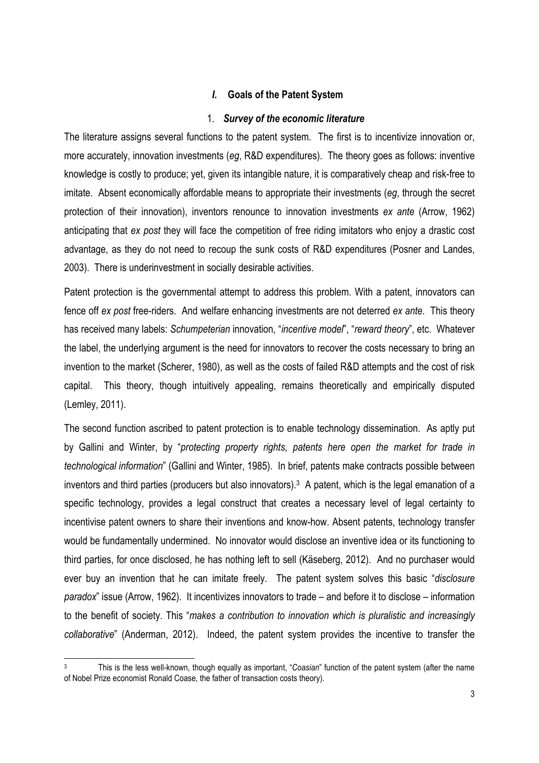#### *I.* **Goals of the Patent System**

#### 1. *Survey of the economic literature*

The literature assigns several functions to the patent system. The first is to incentivize innovation or, more accurately, innovation investments (*eg*, R&D expenditures). The theory goes as follows: inventive knowledge is costly to produce; yet, given its intangible nature, it is comparatively cheap and risk-free to imitate. Absent economically affordable means to appropriate their investments (*eg*, through the secret protection of their innovation), inventors renounce to innovation investments *ex ante* (Arrow, 1962) anticipating that *ex post* they will face the competition of free riding imitators who enjoy a drastic cost advantage, as they do not need to recoup the sunk costs of R&D expenditures (Posner and Landes, 2003). There is underinvestment in socially desirable activities.

Patent protection is the governmental attempt to address this problem. With a patent, innovators can fence off *ex post* free-riders. And welfare enhancing investments are not deterred *ex ante*. This theory has received many labels: *Schumpeterian* innovation, "*incentive model*", "*reward theory*", etc. Whatever the label, the underlying argument is the need for innovators to recover the costs necessary to bring an invention to the market (Scherer, 1980), as well as the costs of failed R&D attempts and the cost of risk capital. This theory, though intuitively appealing, remains theoretically and empirically disputed (Lemley, 2011).

The second function ascribed to patent protection is to enable technology dissemination. As aptly put by Gallini and Winter, by "*protecting property rights, patents here open the market for trade in technological information*" (Gallini and Winter, 1985). In brief, patents make contracts possible between inventors and third parties (producers but also innovators).3 A patent, which is the legal emanation of a specific technology, provides a legal construct that creates a necessary level of legal certainty to incentivise patent owners to share their inventions and know-how. Absent patents, technology transfer would be fundamentally undermined. No innovator would disclose an inventive idea or its functioning to third parties, for once disclosed, he has nothing left to sell (Käseberg, 2012). And no purchaser would ever buy an invention that he can imitate freely. The patent system solves this basic "*disclosure paradox*" issue (Arrow, 1962). It incentivizes innovators to trade – and before it to disclose – information to the benefit of society. This "*makes a contribution to innovation which is pluralistic and increasingly collaborative*" (Anderman, 2012). Indeed, the patent system provides the incentive to transfer the

<sup>3</sup> This is the less well-known, though equally as important, "*Coasian*" function of the patent system (after the name of Nobel Prize economist Ronald Coase, the father of transaction costs theory).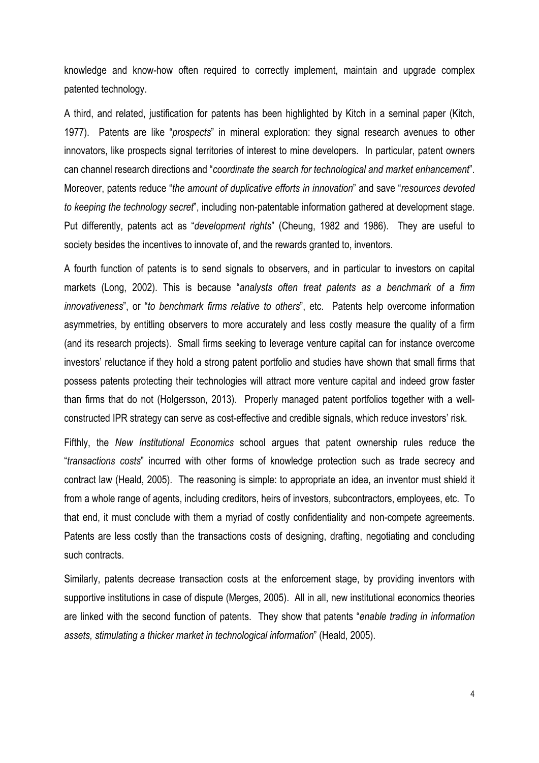knowledge and know-how often required to correctly implement, maintain and upgrade complex patented technology.

A third, and related, justification for patents has been highlighted by Kitch in a seminal paper (Kitch, 1977). Patents are like "*prospects*" in mineral exploration: they signal research avenues to other innovators, like prospects signal territories of interest to mine developers. In particular, patent owners can channel research directions and "*coordinate the search for technological and market enhancement*". Moreover, patents reduce "*the amount of duplicative efforts in innovation*" and save "*resources devoted to keeping the technology secret*", including non-patentable information gathered at development stage. Put differently, patents act as "*development rights*" (Cheung, 1982 and 1986). They are useful to society besides the incentives to innovate of, and the rewards granted to, inventors.

A fourth function of patents is to send signals to observers, and in particular to investors on capital markets (Long, 2002). This is because "*analysts often treat patents as a benchmark of a firm innovativeness*", or "*to benchmark firms relative to others*", etc. Patents help overcome information asymmetries, by entitling observers to more accurately and less costly measure the quality of a firm (and its research projects). Small firms seeking to leverage venture capital can for instance overcome investors' reluctance if they hold a strong patent portfolio and studies have shown that small firms that possess patents protecting their technologies will attract more venture capital and indeed grow faster than firms that do not (Holgersson, 2013). Properly managed patent portfolios together with a wellconstructed IPR strategy can serve as cost-effective and credible signals, which reduce investors' risk.

Fifthly, the *New Institutional Economics* school argues that patent ownership rules reduce the "*transactions costs*" incurred with other forms of knowledge protection such as trade secrecy and contract law (Heald, 2005). The reasoning is simple: to appropriate an idea, an inventor must shield it from a whole range of agents, including creditors, heirs of investors, subcontractors, employees, etc. To that end, it must conclude with them a myriad of costly confidentiality and non-compete agreements. Patents are less costly than the transactions costs of designing, drafting, negotiating and concluding such contracts.

Similarly, patents decrease transaction costs at the enforcement stage, by providing inventors with supportive institutions in case of dispute (Merges, 2005). All in all, new institutional economics theories are linked with the second function of patents. They show that patents "*enable trading in information assets, stimulating a thicker market in technological information*" (Heald, 2005).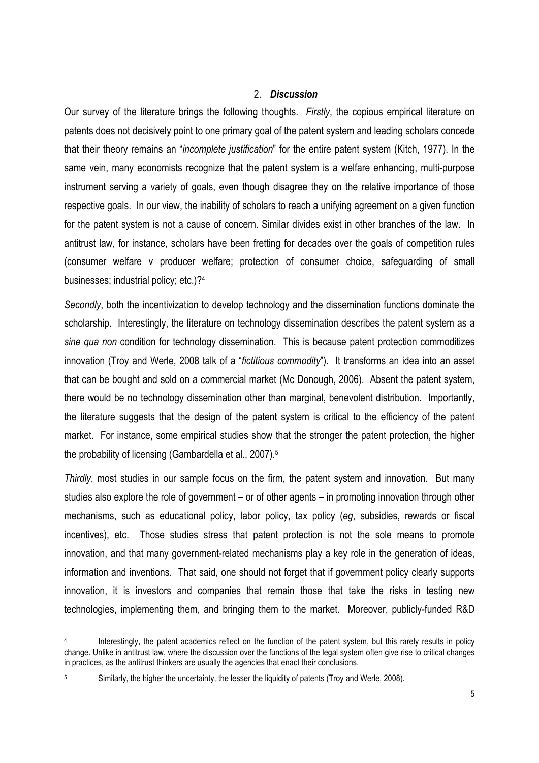#### 2. *Discussion*

Our survey of the literature brings the following thoughts. *Firstly*, the copious empirical literature on patents does not decisively point to one primary goal of the patent system and leading scholars concede that their theory remains an "*incomplete justification*" for the entire patent system (Kitch, 1977). In the same vein, many economists recognize that the patent system is a welfare enhancing, multi-purpose instrument serving a variety of goals, even though disagree they on the relative importance of those respective goals. In our view, the inability of scholars to reach a unifying agreement on a given function for the patent system is not a cause of concern. Similar divides exist in other branches of the law. In antitrust law, for instance, scholars have been fretting for decades over the goals of competition rules (consumer welfare v producer welfare; protection of consumer choice, safeguarding of small businesses; industrial policy; etc.)?4

*Secondly*, both the incentivization to develop technology and the dissemination functions dominate the scholarship. Interestingly, the literature on technology dissemination describes the patent system as a *sine qua non* condition for technology dissemination. This is because patent protection commoditizes innovation (Troy and Werle, 2008 talk of a "*fictitious commodity*"). It transforms an idea into an asset that can be bought and sold on a commercial market (Mc Donough, 2006). Absent the patent system, there would be no technology dissemination other than marginal, benevolent distribution. Importantly, the literature suggests that the design of the patent system is critical to the efficiency of the patent market. For instance, some empirical studies show that the stronger the patent protection, the higher the probability of licensing (Gambardella et al., 2007).5

*Thirdly*, most studies in our sample focus on the firm, the patent system and innovation. But many studies also explore the role of government – or of other agents – in promoting innovation through other mechanisms, such as educational policy, labor policy, tax policy (*eg*, subsidies, rewards or fiscal incentives), etc. Those studies stress that patent protection is not the sole means to promote innovation, and that many government-related mechanisms play a key role in the generation of ideas, information and inventions. That said, one should not forget that if government policy clearly supports innovation, it is investors and companies that remain those that take the risks in testing new technologies, implementing them, and bringing them to the market. Moreover, publicly-funded R&D

Interestingly, the patent academics reflect on the function of the patent system, but this rarely results in policy change. Unlike in antitrust law, where the discussion over the functions of the legal system often give rise to critical changes in practices, as the antitrust thinkers are usually the agencies that enact their conclusions.

<sup>&</sup>lt;sup>5</sup> Similarly, the higher the uncertainty, the lesser the liquidity of patents (Troy and Werle, 2008).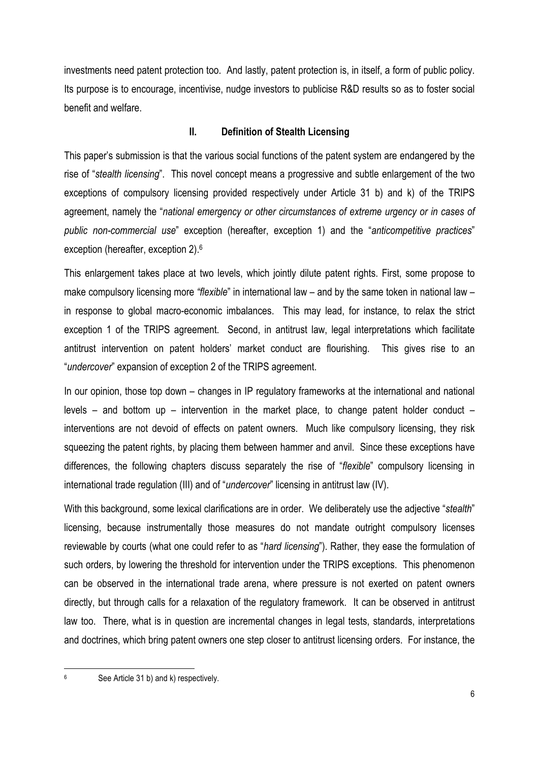investments need patent protection too. And lastly, patent protection is, in itself, a form of public policy. Its purpose is to encourage, incentivise, nudge investors to publicise R&D results so as to foster social benefit and welfare.

# **II. Definition of Stealth Licensing**

This paper's submission is that the various social functions of the patent system are endangered by the rise of "*stealth licensing*". This novel concept means a progressive and subtle enlargement of the two exceptions of compulsory licensing provided respectively under Article 31 b) and k) of the TRIPS agreement, namely the "*national emergency or other circumstances of extreme urgency or in cases of public non-commercial use*" exception (hereafter, exception 1) and the "*anticompetitive practices*" exception (hereafter, exception 2).6

This enlargement takes place at two levels, which jointly dilute patent rights. First, some propose to make compulsory licensing more *"flexible*" in international law – and by the same token in national law – in response to global macro-economic imbalances. This may lead, for instance, to relax the strict exception 1 of the TRIPS agreement. Second, in antitrust law, legal interpretations which facilitate antitrust intervention on patent holders' market conduct are flourishing. This gives rise to an "*undercover*" expansion of exception 2 of the TRIPS agreement.

In our opinion, those top down – changes in IP regulatory frameworks at the international and national levels – and bottom up – intervention in the market place, to change patent holder conduct – interventions are not devoid of effects on patent owners. Much like compulsory licensing, they risk squeezing the patent rights, by placing them between hammer and anvil. Since these exceptions have differences, the following chapters discuss separately the rise of "*flexible*" compulsory licensing in international trade regulation (III) and of "*undercover*" licensing in antitrust law (IV).

With this background, some lexical clarifications are in order. We deliberately use the adjective "*stealth*" licensing, because instrumentally those measures do not mandate outright compulsory licenses reviewable by courts (what one could refer to as "*hard licensing*"). Rather, they ease the formulation of such orders, by lowering the threshold for intervention under the TRIPS exceptions. This phenomenon can be observed in the international trade arena, where pressure is not exerted on patent owners directly, but through calls for a relaxation of the regulatory framework. It can be observed in antitrust law too. There, what is in question are incremental changes in legal tests, standards, interpretations and doctrines, which bring patent owners one step closer to antitrust licensing orders. For instance, the

<sup>6</sup> See Article 31 b) and k) respectively.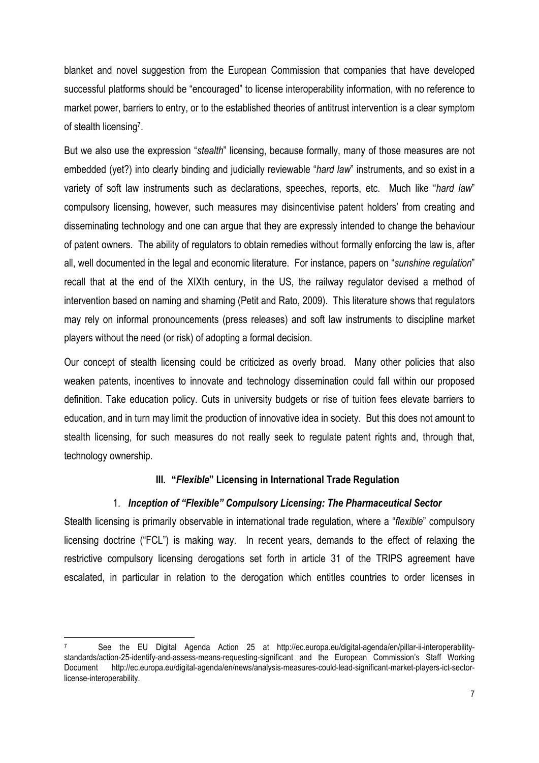blanket and novel suggestion from the European Commission that companies that have developed successful platforms should be "encouraged" to license interoperability information, with no reference to market power, barriers to entry, or to the established theories of antitrust intervention is a clear symptom of stealth licensing7.

But we also use the expression "*stealth*" licensing, because formally, many of those measures are not embedded (yet?) into clearly binding and judicially reviewable "*hard law*" instruments, and so exist in a variety of soft law instruments such as declarations, speeches, reports, etc. Much like "*hard law*" compulsory licensing, however, such measures may disincentivise patent holders' from creating and disseminating technology and one can argue that they are expressly intended to change the behaviour of patent owners. The ability of regulators to obtain remedies without formally enforcing the law is, after all, well documented in the legal and economic literature. For instance, papers on "*sunshine regulation*" recall that at the end of the XIXth century, in the US, the railway regulator devised a method of intervention based on naming and shaming (Petit and Rato, 2009). This literature shows that regulators may rely on informal pronouncements (press releases) and soft law instruments to discipline market players without the need (or risk) of adopting a formal decision.

Our concept of stealth licensing could be criticized as overly broad. Many other policies that also weaken patents, incentives to innovate and technology dissemination could fall within our proposed definition. Take education policy. Cuts in university budgets or rise of tuition fees elevate barriers to education, and in turn may limit the production of innovative idea in society. But this does not amount to stealth licensing, for such measures do not really seek to regulate patent rights and, through that, technology ownership.

#### **III. "***Flexible***" Licensing in International Trade Regulation**

#### 1. *Inception of "Flexible" Compulsory Licensing: The Pharmaceutical Sector*

Stealth licensing is primarily observable in international trade regulation, where a "*flexible*" compulsory licensing doctrine ("FCL") is making way. In recent years, demands to the effect of relaxing the restrictive compulsory licensing derogations set forth in article 31 of the TRIPS agreement have escalated, in particular in relation to the derogation which entitles countries to order licenses in

See the EU Digital Agenda Action 25 at http://ec.europa.eu/digital-agenda/en/pillar-ii-interoperabilitystandards/action-25-identify-and-assess-means-requesting-significant and the European Commission's Staff Working Document http://ec.europa.eu/digital-agenda/en/news/analysis-measures-could-lead-significant-market-players-ict-sectorlicense-interoperability.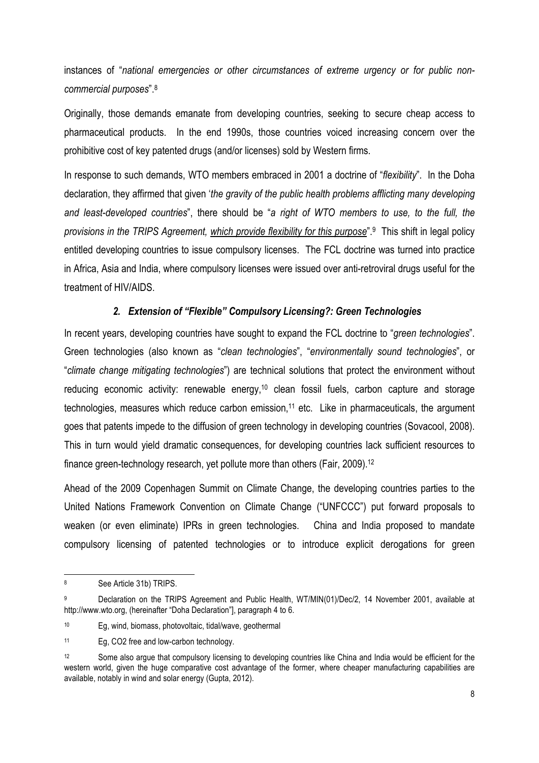instances of "*national emergencies or other circumstances of extreme urgency or for public noncommercial purposes*".8

Originally, those demands emanate from developing countries, seeking to secure cheap access to pharmaceutical products. In the end 1990s, those countries voiced increasing concern over the prohibitive cost of key patented drugs (and/or licenses) sold by Western firms.

In response to such demands, WTO members embraced in 2001 a doctrine of "*flexibility*". In the Doha declaration, they affirmed that given '*the gravity of the public health problems afflicting many developing and least-developed countries*", there should be "*a right of WTO members to use, to the full, the provisions in the TRIPS Agreement, which provide flexibility for this purpose*".9 This shift in legal policy entitled developing countries to issue compulsory licenses. The FCL doctrine was turned into practice in Africa, Asia and India, where compulsory licenses were issued over anti-retroviral drugs useful for the treatment of HIV/AIDS.

#### *2. Extension of "Flexible" Compulsory Licensing?: Green Technologies*

In recent years, developing countries have sought to expand the FCL doctrine to "*green technologies*". Green technologies (also known as "*clean technologies*", "*environmentally sound technologies*", or "*climate change mitigating technologies*") are technical solutions that protect the environment without reducing economic activity: renewable energy,<sup>10</sup> clean fossil fuels, carbon capture and storage technologies, measures which reduce carbon emission, 11 etc. Like in pharmaceuticals, the argument goes that patents impede to the diffusion of green technology in developing countries (Sovacool, 2008). This in turn would yield dramatic consequences, for developing countries lack sufficient resources to finance green-technology research, yet pollute more than others (Fair, 2009).12

Ahead of the 2009 Copenhagen Summit on Climate Change, the developing countries parties to the United Nations Framework Convention on Climate Change ("UNFCCC") put forward proposals to weaken (or even eliminate) IPRs in green technologies. China and India proposed to mandate compulsory licensing of patented technologies or to introduce explicit derogations for green

<sup>8</sup> See Article 31b) TRIPS.

<sup>9</sup> Declaration on the TRIPS Agreement and Public Health, WT/MIN(01)/Dec/2, 14 November 2001, available at http://www.wto.org, (hereinafter "Doha Declaration"], paragraph 4 to 6.

<sup>10</sup> Eg, wind, biomass, photovoltaic, tidal/wave, geothermal

<sup>11</sup> Eg, CO2 free and low-carbon technology.

<sup>&</sup>lt;sup>12</sup> Some also argue that compulsory licensing to developing countries like China and India would be efficient for the western world, given the huge comparative cost advantage of the former, where cheaper manufacturing capabilities are available, notably in wind and solar energy (Gupta, 2012).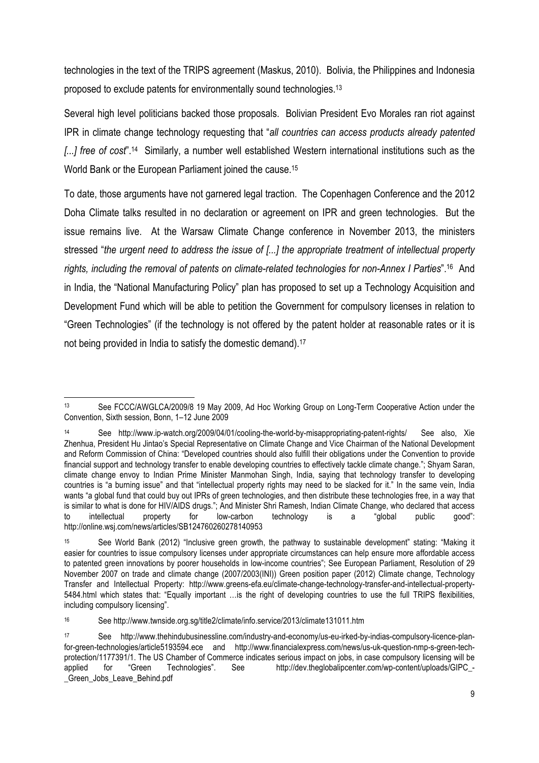technologies in the text of the TRIPS agreement (Maskus, 2010). Bolivia, the Philippines and Indonesia proposed to exclude patents for environmentally sound technologies.13

Several high level politicians backed those proposals. Bolivian President Evo Morales ran riot against IPR in climate change technology requesting that "*all countries can access products already patented [...] free of cost*".14 Similarly, a number well established Western international institutions such as the World Bank or the European Parliament joined the cause.15

To date, those arguments have not garnered legal traction. The Copenhagen Conference and the 2012 Doha Climate talks resulted in no declaration or agreement on IPR and green technologies. But the issue remains live. At the Warsaw Climate Change conference in November 2013, the ministers stressed "*the urgent need to address the issue of [...] the appropriate treatment of intellectual property rights, including the removal of patents on climate-related technologies for non-Annex I Parties*".16 And in India, the "National Manufacturing Policy" plan has proposed to set up a Technology Acquisition and Development Fund which will be able to petition the Government for compulsory licenses in relation to "Green Technologies" (if the technology is not offered by the patent holder at reasonable rates or it is not being provided in India to satisfy the domestic demand).<sup>17</sup>

<sup>1</sup> 13 See FCCC/AWGLCA/2009/8 19 May 2009, Ad Hoc Working Group on Long-Term Cooperative Action under the Convention, Sixth session, Bonn, 1–12 June 2009

<sup>14</sup> See http://www.ip-watch.org/2009/04/01/cooling-the-world-by-misappropriating-patent-rights/ See also, Xie Zhenhua, President Hu Jintao's Special Representative on Climate Change and Vice Chairman of the National Development and Reform Commission of China: "Developed countries should also fulfill their obligations under the Convention to provide financial support and technology transfer to enable developing countries to effectively tackle climate change."; Shyam Saran, climate change envoy to Indian Prime Minister Manmohan Singh, India, saying that technology transfer to developing countries is "a burning issue" and that "intellectual property rights may need to be slacked for it." In the same vein, India wants "a global fund that could buy out IPRs of green technologies, and then distribute these technologies free, in a way that is similar to what is done for HIV/AIDS drugs."; And Minister Shri Ramesh, Indian Climate Change, who declared that access to intellectual property for low-carbon technology is a "global public good": http://online.wsj.com/news/articles/SB124760260278140953

<sup>15</sup> See World Bank (2012) "Inclusive green growth, the pathway to sustainable development" stating: "Making it easier for countries to issue compulsory licenses under appropriate circumstances can help ensure more affordable access to patented green innovations by poorer households in low-income countries"; See European Parliament, Resolution of 29 November 2007 on trade and climate change (2007/2003(INI)) Green position paper (2012) Climate change, Technology Transfer and Intellectual Property: http://www.greens-efa.eu/climate-change-technology-transfer-and-intellectual-property-5484.html which states that: "Equally important …is the right of developing countries to use the full TRIPS flexibilities, including compulsory licensing".

<sup>16</sup> See http://www.twnside.org.sg/title2/climate/info.service/2013/climate131011.htm

<sup>17</sup> See http://www.thehindubusinessline.com/industry-and-economy/us-eu-irked-by-indias-compulsory-licence-planfor-green-technologies/article5193594.ece and http://www.financialexpress.com/news/us-uk-question-nmp-s-green-techprotection/1177391/1. The US Chamber of Commerce indicates serious impact on jobs, in case compulsory licensing will be applied for "Green Technologies". See http://dev.theglobalipcenter.com/wp-content/uploads/GIPC\_- \_Green\_Jobs\_Leave\_Behind.pdf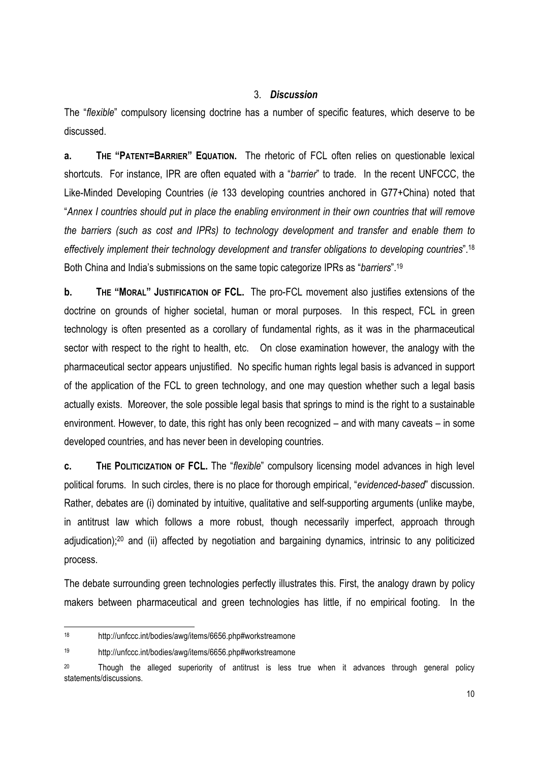#### 3. *Discussion*

The "*flexible*" compulsory licensing doctrine has a number of specific features, which deserve to be discussed.

**a. THE "PATENT=BARRIER" EQUATION.** The rhetoric of FCL often relies on questionable lexical shortcuts. For instance, IPR are often equated with a "*barrier*" to trade. In the recent UNFCCC, the Like-Minded Developing Countries (*ie* 133 developing countries anchored in G77+China) noted that "*Annex I countries should put in place the enabling environment in their own countries that will remove the barriers (such as cost and IPRs) to technology development and transfer and enable them to effectively implement their technology development and transfer obligations to developing countries*".18 Both China and India's submissions on the same topic categorize IPRs as "*barriers*".19

**b. THE "MORAL" JUSTIFICATION OF FCL.** The pro-FCL movement also justifies extensions of the doctrine on grounds of higher societal, human or moral purposes. In this respect, FCL in green technology is often presented as a corollary of fundamental rights, as it was in the pharmaceutical sector with respect to the right to health, etc. On close examination however, the analogy with the pharmaceutical sector appears unjustified. No specific human rights legal basis is advanced in support of the application of the FCL to green technology, and one may question whether such a legal basis actually exists. Moreover, the sole possible legal basis that springs to mind is the right to a sustainable environment. However, to date, this right has only been recognized – and with many caveats – in some developed countries, and has never been in developing countries.

**c. THE POLITICIZATION OF FCL.** The "*flexible*" compulsory licensing model advances in high level political forums. In such circles, there is no place for thorough empirical, "*evidenced-based*" discussion. Rather, debates are (i) dominated by intuitive, qualitative and self-supporting arguments (unlike maybe, in antitrust law which follows a more robust, though necessarily imperfect, approach through adiudication);<sup>20</sup> and (ii) affected by negotiation and bargaining dynamics, intrinsic to any politicized process.

The debate surrounding green technologies perfectly illustrates this. First, the analogy drawn by policy makers between pharmaceutical and green technologies has little, if no empirical footing. In the

<sup>18</sup> http://unfccc.int/bodies/awg/items/6656.php#workstreamone

<sup>19</sup> http://unfccc.int/bodies/awg/items/6656.php#workstreamone

<sup>&</sup>lt;sup>20</sup> Though the alleged superiority of antitrust is less true when it advances through general policy statements/discussions.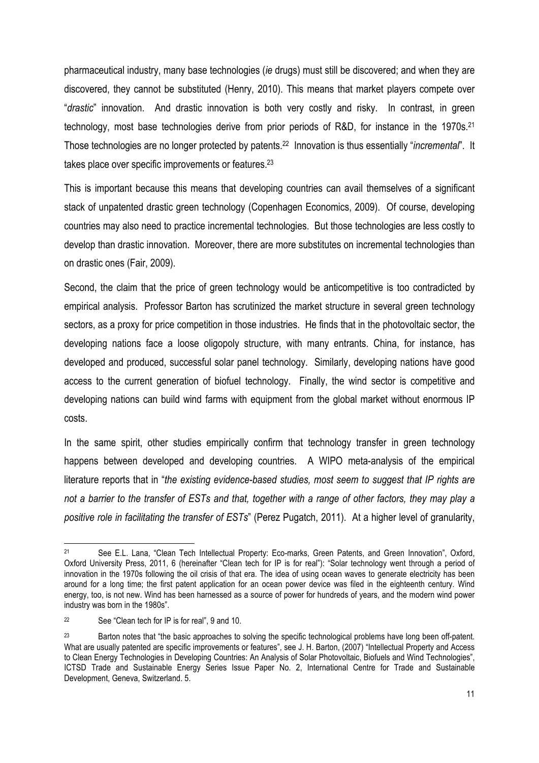pharmaceutical industry, many base technologies (*ie* drugs) must still be discovered; and when they are discovered, they cannot be substituted (Henry, 2010). This means that market players compete over "*drastic*" innovation. And drastic innovation is both very costly and risky. In contrast, in green technology, most base technologies derive from prior periods of R&D, for instance in the 1970s.21 Those technologies are no longer protected by patents.22 Innovation is thus essentially "*incremental*". It takes place over specific improvements or features.<sup>23</sup>

This is important because this means that developing countries can avail themselves of a significant stack of unpatented drastic green technology (Copenhagen Economics, 2009). Of course, developing countries may also need to practice incremental technologies. But those technologies are less costly to develop than drastic innovation. Moreover, there are more substitutes on incremental technologies than on drastic ones (Fair, 2009).

Second, the claim that the price of green technology would be anticompetitive is too contradicted by empirical analysis. Professor Barton has scrutinized the market structure in several green technology sectors, as a proxy for price competition in those industries. He finds that in the photovoltaic sector, the developing nations face a loose oligopoly structure, with many entrants. China, for instance, has developed and produced, successful solar panel technology. Similarly, developing nations have good access to the current generation of biofuel technology. Finally, the wind sector is competitive and developing nations can build wind farms with equipment from the global market without enormous IP costs.

In the same spirit, other studies empirically confirm that technology transfer in green technology happens between developed and developing countries. A WIPO meta-analysis of the empirical literature reports that in "*the existing evidence-based studies, most seem to suggest that IP rights are not a barrier to the transfer of ESTs and that, together with a range of other factors, they may play a positive role in facilitating the transfer of ESTs*" (Perez Pugatch, 2011). At a higher level of granularity,

<sup>21</sup> See E.L. Lana, "Clean Tech Intellectual Property: Eco-marks, Green Patents, and Green Innovation", Oxford, Oxford University Press, 2011, 6 (hereinafter "Clean tech for IP is for real"): "Solar technology went through a period of innovation in the 1970s following the oil crisis of that era. The idea of using ocean waves to generate electricity has been around for a long time; the first patent application for an ocean power device was filed in the eighteenth century. Wind energy, too, is not new. Wind has been harnessed as a source of power for hundreds of years, and the modern wind power industry was born in the 1980s".

<sup>22</sup> See "Clean tech for IP is for real", 9 and 10.

<sup>&</sup>lt;sup>23</sup> Barton notes that "the basic approaches to solving the specific technological problems have long been off-patent. What are usually patented are specific improvements or features", see J. H. Barton, (2007) "Intellectual Property and Access to Clean Energy Technologies in Developing Countries: An Analysis of Solar Photovoltaic, Biofuels and Wind Technologies", ICTSD Trade and Sustainable Energy Series Issue Paper No. 2, International Centre for Trade and Sustainable Development, Geneva, Switzerland. 5.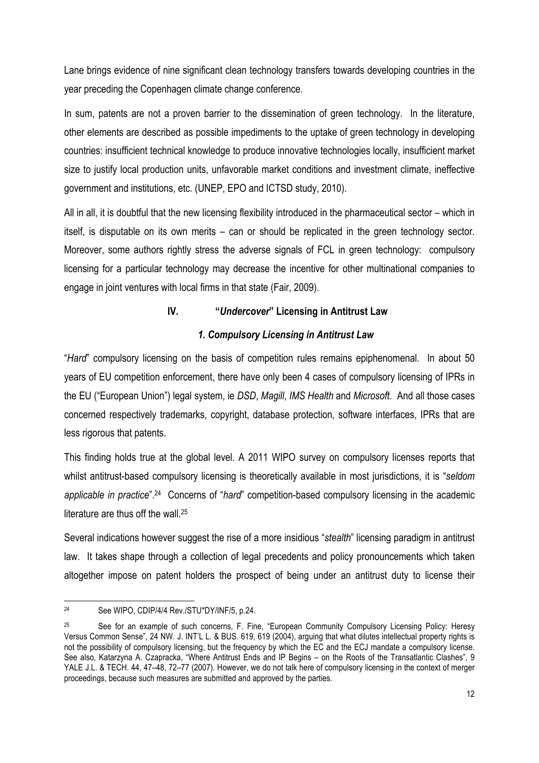Lane brings evidence of nine significant clean technology transfers towards developing countries in the year preceding the Copenhagen climate change conference.

In sum, patents are not a proven barrier to the dissemination of green technology. In the literature, other elements are described as possible impediments to the uptake of green technology in developing countries: insufficient technical knowledge to produce innovative technologies locally, insufficient market size to justify local production units, unfavorable market conditions and investment climate, ineffective government and institutions, etc. (UNEP, EPO and ICTSD study, 2010).

All in all, it is doubtful that the new licensing flexibility introduced in the pharmaceutical sector – which in itself, is disputable on its own merits – can or should be replicated in the green technology sector. Moreover, some authors rightly stress the adverse signals of FCL in green technology: compulsory licensing for a particular technology may decrease the incentive for other multinational companies to engage in joint ventures with local firms in that state (Fair, 2009).

# **IV. "***Undercover***" Licensing in Antitrust Law**

# *1. Compulsory Licensing in Antitrust Law*

"*Hard*" compulsory licensing on the basis of competition rules remains epiphenomenal. In about 50 years of EU competition enforcement, there have only been 4 cases of compulsory licensing of IPRs in the EU ("European Union") legal system, ie *DSD*, *Magill*, *IMS Health* and *Microsoft*. And all those cases concerned respectively trademarks, copyright, database protection, software interfaces, IPRs that are less rigorous that patents.

This finding holds true at the global level. A 2011 WIPO survey on compulsory licenses reports that whilst antitrust-based compulsory licensing is theoretically available in most jurisdictions, it is "*seldom applicable in practice*".24 Concerns of "*hard*" competition-based compulsory licensing in the academic literature are thus off the wall.<sup>25</sup>

Several indications however suggest the rise of a more insidious "*stealth*" licensing paradigm in antitrust law. It takes shape through a collection of legal precedents and policy pronouncements which taken altogether impose on patent holders the prospect of being under an antitrust duty to license their

<sup>1</sup> 24 See WIPO, CDIP/4/4 Rev./STU\*DY/INF/5, p.24.

<sup>25</sup> See for an example of such concerns, F. Fine, "European Community Compulsory Licensing Policy: Heresy Versus Common Sense", 24 NW. J. INT'L L. & BUS. 619, 619 (2004), arguing that what dilutes intellectual property rights is not the possibility of compulsory licensing, but the frequency by which the EC and the ECJ mandate a compulsory license. See also, Katarzyna A. Czapracka, "Where Antitrust Ends and IP Begins – on the Roots of the Transatlantic Clashes", 9 YALE J.L. & TECH. 44, 47–48, 72–77 (2007). However, we do not talk here of compulsory licensing in the context of merger proceedings, because such measures are submitted and approved by the parties.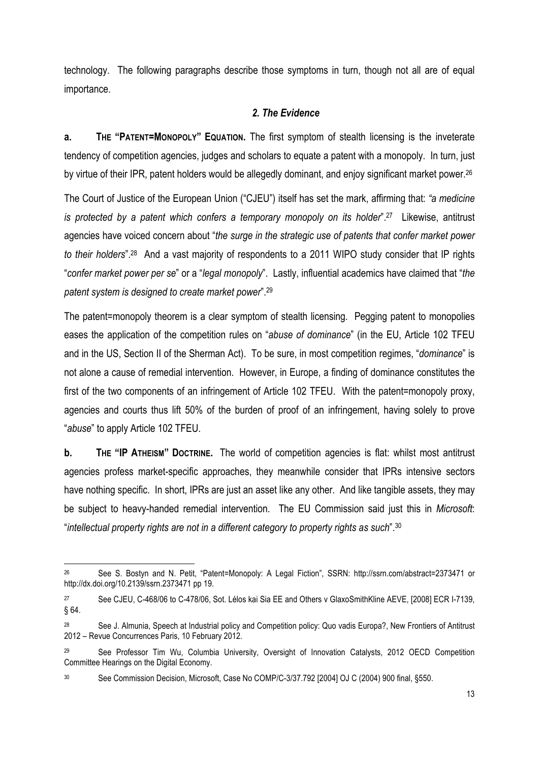technology. The following paragraphs describe those symptoms in turn, though not all are of equal importance.

# *2. The Evidence*

**a. THE "PATENT=MONOPOLY" EQUATION.** The first symptom of stealth licensing is the inveterate tendency of competition agencies, judges and scholars to equate a patent with a monopoly. In turn, just by virtue of their IPR, patent holders would be allegedly dominant, and enjoy significant market power.<sup>26</sup>

The Court of Justice of the European Union ("CJEU") itself has set the mark, affirming that: *"a medicine is protected by a patent which confers a temporary monopoly on its holder*".<sup>27</sup> Likewise, antitrust agencies have voiced concern about "*the surge in the strategic use of patents that confer market power to their holders*".28 And a vast majority of respondents to a 2011 WIPO study consider that IP rights "*confer market power per se*" or a "*legal monopoly*". Lastly, influential academics have claimed that "*the patent system is designed to create market power*".29

The patent=monopoly theorem is a clear symptom of stealth licensing. Pegging patent to monopolies eases the application of the competition rules on "*abuse of dominance*" (in the EU, Article 102 TFEU and in the US, Section II of the Sherman Act). To be sure, in most competition regimes, "*dominance*" is not alone a cause of remedial intervention. However, in Europe, a finding of dominance constitutes the first of the two components of an infringement of Article 102 TFEU. With the patent=monopoly proxy, agencies and courts thus lift 50% of the burden of proof of an infringement, having solely to prove "*abuse*" to apply Article 102 TFEU.

**b. THE "IP ATHEISM" DOCTRINE.** The world of competition agencies is flat: whilst most antitrust agencies profess market-specific approaches, they meanwhile consider that IPRs intensive sectors have nothing specific. In short, IPRs are just an asset like any other. And like tangible assets, they may be subject to heavy-handed remedial intervention. The EU Commission said just this in *Microsoft*: "*intellectual property rights are not in a different category to property rights as such*".30

<sup>26</sup> See S. Bostyn and N. Petit, "Patent=Monopoly: A Legal Fiction", SSRN: http://ssrn.com/abstract=2373471 or http://dx.doi.org/10.2139/ssrn.2373471 pp 19.

<sup>27</sup> See CJEU, C-468/06 to C-478/06, Sot. Lélos kai Sia EE and Others v GlaxoSmithKline AEVE, [2008] ECR I-7139, § 64.

<sup>28</sup> See J. Almunia, Speech at Industrial policy and Competition policy: Quo vadis Europa?, New Frontiers of Antitrust 2012 – Revue Concurrences Paris, 10 February 2012.

See Professor Tim Wu, Columbia University, Oversight of Innovation Catalysts, 2012 OECD Competition Committee Hearings on the Digital Economy.

<sup>30</sup> See Commission Decision, Microsoft, Case No COMP/C-3/37.792 [2004] OJ C (2004) 900 final, §550.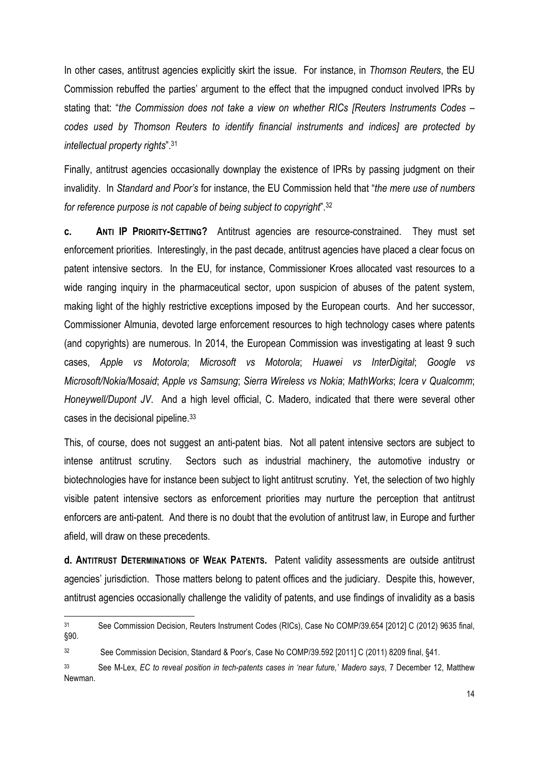In other cases, antitrust agencies explicitly skirt the issue. For instance, in *Thomson Reuters*, the EU Commission rebuffed the parties' argument to the effect that the impugned conduct involved IPRs by stating that: "*the Commission does not take a view on whether RICs [Reuters Instruments Codes – codes used by Thomson Reuters to identify financial instruments and indices] are protected by intellectual property rights*".31

Finally, antitrust agencies occasionally downplay the existence of IPRs by passing judgment on their invalidity. In *Standard and Poor's* for instance, the EU Commission held that "*the mere use of numbers for reference purpose is not capable of being subject to copyright*".32

**c. ANTI IP PRIORITY-SETTING?** Antitrust agencies are resource-constrained. They must set enforcement priorities. Interestingly, in the past decade, antitrust agencies have placed a clear focus on patent intensive sectors. In the EU, for instance, Commissioner Kroes allocated vast resources to a wide ranging inquiry in the pharmaceutical sector, upon suspicion of abuses of the patent system, making light of the highly restrictive exceptions imposed by the European courts. And her successor, Commissioner Almunia, devoted large enforcement resources to high technology cases where patents (and copyrights) are numerous. In 2014, the European Commission was investigating at least 9 such cases, *Apple vs Motorola*; *Microsoft vs Motorola*; *Huawei vs InterDigital*; *Google vs Microsoft/Nokia/Mosaid*; *Apple vs Samsung*; *Sierra Wireless vs Nokia*; *MathWorks*; *Icera v Qualcomm*; *Honeywell/Dupont JV*. And a high level official, C. Madero, indicated that there were several other cases in the decisional pipeline.33

This, of course, does not suggest an anti-patent bias. Not all patent intensive sectors are subject to intense antitrust scrutiny. Sectors such as industrial machinery, the automotive industry or biotechnologies have for instance been subject to light antitrust scrutiny. Yet, the selection of two highly visible patent intensive sectors as enforcement priorities may nurture the perception that antitrust enforcers are anti-patent. And there is no doubt that the evolution of antitrust law, in Europe and further afield, will draw on these precedents.

**d. ANTITRUST DETERMINATIONS OF WEAK PATENTS.** Patent validity assessments are outside antitrust agencies' jurisdiction. Those matters belong to patent offices and the judiciary. Despite this, however, antitrust agencies occasionally challenge the validity of patents, and use findings of invalidity as a basis

<sup>31</sup> See Commission Decision, Reuters Instrument Codes (RICs), Case No COMP/39.654 [2012] C (2012) 9635 final, §90.

<sup>&</sup>lt;sup>32</sup> See Commission Decision, Standard & Poor's, Case No COMP/39,592 [2011] C (2011) 8209 final, §41.

<sup>33</sup> See M-Lex, *EC to reveal position in tech-patents cases in 'near future,' Madero says*, 7 December 12, Matthew Newman.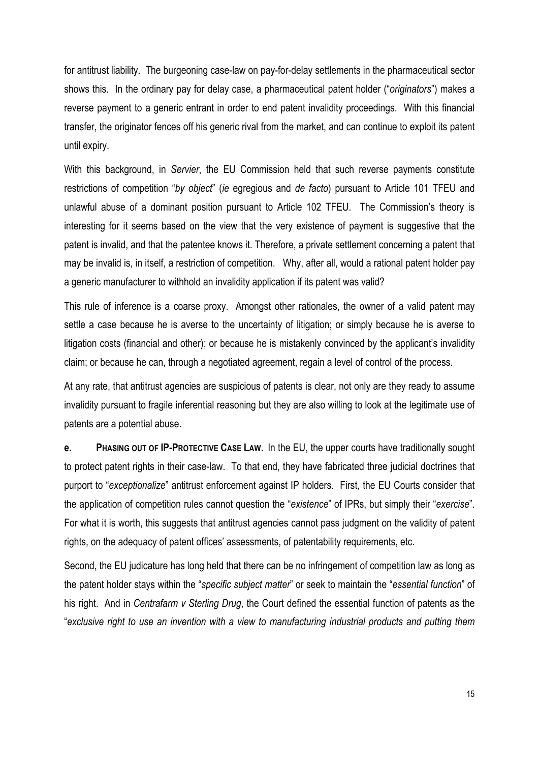for antitrust liability. The burgeoning case-law on pay-for-delay settlements in the pharmaceutical sector shows this. In the ordinary pay for delay case, a pharmaceutical patent holder ("*originators*") makes a reverse payment to a generic entrant in order to end patent invalidity proceedings. With this financial transfer, the originator fences off his generic rival from the market, and can continue to exploit its patent until expiry.

With this background, in *Servier*, the EU Commission held that such reverse payments constitute restrictions of competition "*by object*" (*ie* egregious and *de facto*) pursuant to Article 101 TFEU and unlawful abuse of a dominant position pursuant to Article 102 TFEU. The Commission's theory is interesting for it seems based on the view that the very existence of payment is suggestive that the patent is invalid, and that the patentee knows it. Therefore, a private settlement concerning a patent that may be invalid is, in itself, a restriction of competition. Why, after all, would a rational patent holder pay a generic manufacturer to withhold an invalidity application if its patent was valid?

This rule of inference is a coarse proxy. Amongst other rationales, the owner of a valid patent may settle a case because he is averse to the uncertainty of litigation; or simply because he is averse to litigation costs (financial and other); or because he is mistakenly convinced by the applicant's invalidity claim; or because he can, through a negotiated agreement, regain a level of control of the process.

At any rate, that antitrust agencies are suspicious of patents is clear, not only are they ready to assume invalidity pursuant to fragile inferential reasoning but they are also willing to look at the legitimate use of patents are a potential abuse.

**e. PHASING OUT OF IP-PROTECTIVE CASE LAW.** In the EU, the upper courts have traditionally sought to protect patent rights in their case-law. To that end, they have fabricated three judicial doctrines that purport to "*exceptionalize*" antitrust enforcement against IP holders. First, the EU Courts consider that the application of competition rules cannot question the "*existence*" of IPRs, but simply their "*exercise*". For what it is worth, this suggests that antitrust agencies cannot pass judgment on the validity of patent rights, on the adequacy of patent offices' assessments, of patentability requirements, etc.

Second, the EU judicature has long held that there can be no infringement of competition law as long as the patent holder stays within the "*specific subject matter*" or seek to maintain the "*essential function*" of his right. And in *Centrafarm v Sterling Drug*, the Court defined the essential function of patents as the "*exclusive right to use an invention with a view to manufacturing industrial products and putting them*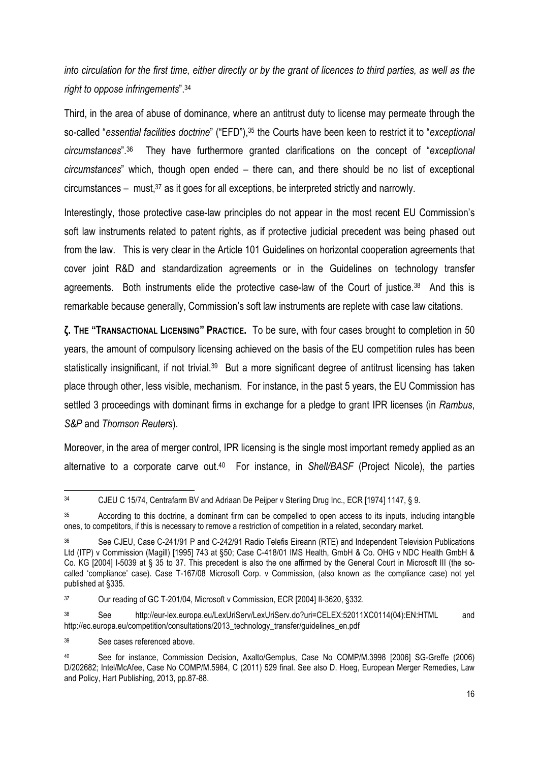*into circulation for the first time, either directly or by the grant of licences to third parties, as well as the right to oppose infringements*".34

Third, in the area of abuse of dominance, where an antitrust duty to license may permeate through the so-called "*essential facilities doctrine*" ("EFD"),35 the Courts have been keen to restrict it to "*exceptional circumstances*".36 They have furthermore granted clarifications on the concept of "*exceptional circumstances*" which, though open ended – there can, and there should be no list of exceptional circumstances – must, $37$  as it goes for all exceptions, be interpreted strictly and narrowly.

Interestingly, those protective case-law principles do not appear in the most recent EU Commission's soft law instruments related to patent rights, as if protective judicial precedent was being phased out from the law. This is very clear in the Article 101 Guidelines on horizontal cooperation agreements that cover joint R&D and standardization agreements or in the Guidelines on technology transfer agreements. Both instruments elide the protective case-law of the Court of justice.38 And this is remarkable because generally, Commission's soft law instruments are replete with case law citations.

**ζ. THE "TRANSACTIONAL LICENSING" PRACTICE.** To be sure, with four cases brought to completion in 50 years, the amount of compulsory licensing achieved on the basis of the EU competition rules has been statistically insignificant, if not trivial.<sup>39</sup> But a more significant degree of antitrust licensing has taken place through other, less visible, mechanism. For instance, in the past 5 years, the EU Commission has settled 3 proceedings with dominant firms in exchange for a pledge to grant IPR licenses (in *Rambus*, *S&P* and *Thomson Reuters*).

Moreover, in the area of merger control, IPR licensing is the single most important remedy applied as an alternative to a corporate carve out.40 For instance, in *Shell/BASF* (Project Nicole), the parties

<sup>34</sup> CJEU C 15/74, Centrafarm BV and Adriaan De Peijper v Sterling Drug Inc., ECR [1974] 1147, § 9.

<sup>35</sup> According to this doctrine, a dominant firm can be compelled to open access to its inputs, including intangible ones, to competitors, if this is necessary to remove a restriction of competition in a related, secondary market.

See CJEU. Case C-241/91 P and C-242/91 Radio Telefis Eireann (RTE) and Independent Television Publications Ltd (ITP) v Commission (Magill) [1995] 743 at §50; Case C-418/01 IMS Health, GmbH & Co. OHG v NDC Health GmbH & Co. KG [2004] I-5039 at § 35 to 37. This precedent is also the one affirmed by the General Court in Microsoft III (the socalled 'compliance' case). Case T-167/08 Microsoft Corp. v Commission, (also known as the compliance case) not yet published at §335.

<sup>&</sup>lt;sup>37</sup> Our reading of GC T-201/04, Microsoft v Commission, ECR [2004] II-3620, §332.

<sup>38</sup> See http://eur-lex.europa.eu/LexUriServ/LexUriServ.do?uri=CELEX:52011XC0114(04):EN:HTML and http://ec.europa.eu/competition/consultations/2013\_technology\_transfer/guidelines\_en.pdf

<sup>39</sup> See cases referenced above.

<sup>40</sup> See for instance, Commission Decision, Axalto/Gemplus, Case No COMP/M.3998 [2006] SG-Greffe (2006) D/202682; Intel/McAfee, Case No COMP/M.5984, C (2011) 529 final. See also D. Hoeg, European Merger Remedies, Law and Policy, Hart Publishing, 2013, pp.87-88.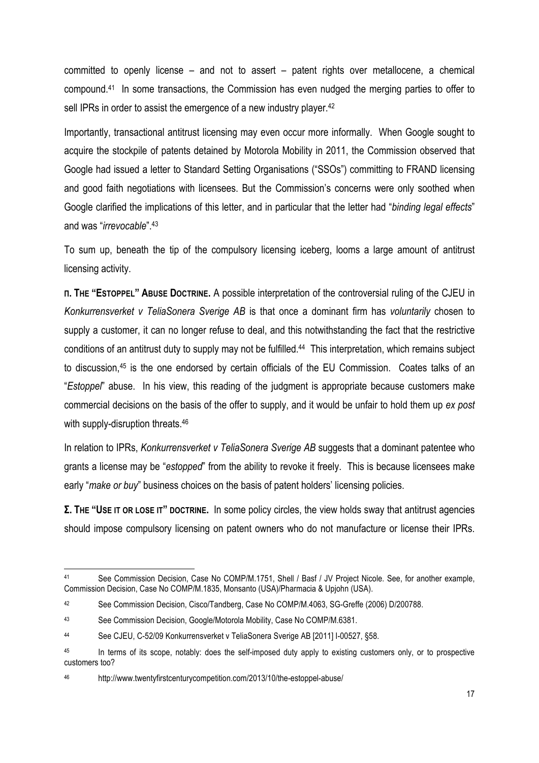committed to openly license – and not to assert – patent rights over metallocene, a chemical compound.41 In some transactions, the Commission has even nudged the merging parties to offer to sell IPRs in order to assist the emergence of a new industry player.<sup>42</sup>

Importantly, transactional antitrust licensing may even occur more informally. When Google sought to acquire the stockpile of patents detained by Motorola Mobility in 2011, the Commission observed that Google had issued a letter to Standard Setting Organisations ("SSOs") committing to FRAND licensing and good faith negotiations with licensees. But the Commission's concerns were only soothed when Google clarified the implications of this letter, and in particular that the letter had "*binding legal effects*" and was "*irrevocable*".43

To sum up, beneath the tip of the compulsory licensing iceberg, looms a large amount of antitrust licensing activity.

**Π. THE "ESTOPPEL" ABUSE DOCTRINE.** A possible interpretation of the controversial ruling of the CJEU in *Konkurrensverket v TeliaSonera Sverige AB* is that once a dominant firm has *voluntarily* chosen to supply a customer, it can no longer refuse to deal, and this notwithstanding the fact that the restrictive conditions of an antitrust duty to supply may not be fulfilled.<sup>44</sup> This interpretation, which remains subject to discussion,45 is the one endorsed by certain officials of the EU Commission. Coates talks of an "*Estoppel*" abuse. In his view, this reading of the judgment is appropriate because customers make commercial decisions on the basis of the offer to supply, and it would be unfair to hold them up *ex post* with supply-disruption threats.<sup>46</sup>

In relation to IPRs, *Konkurrensverket v TeliaSonera Sverige AB* suggests that a dominant patentee who grants a license may be "*estopped*" from the ability to revoke it freely. This is because licensees make early "*make or buy*" business choices on the basis of patent holders' licensing policies.

**Σ. THE "USE IT OR LOSE IT" DOCTRINE.** In some policy circles, the view holds sway that antitrust agencies should impose compulsory licensing on patent owners who do not manufacture or license their IPRs.

<sup>41</sup> See Commission Decision, Case No COMP/M.1751, Shell / Basf / JV Project Nicole. See, for another example, Commission Decision, Case No COMP/M.1835, Monsanto (USA)/Pharmacia & Upjohn (USA).

<sup>42</sup> See Commission Decision, Cisco/Tandberg, Case No COMP/M.4063, SG-Greffe (2006) D/200788.

<sup>43</sup> See Commission Decision, Google/Motorola Mobility, Case No COMP/M.6381.

<sup>44</sup> See CJEU, C-52/09 Konkurrensverket v TeliaSonera Sverige AB [2011] I-00527, §58.

<sup>&</sup>lt;sup>45</sup> In terms of its scope, notably: does the self-imposed duty apply to existing customers only, or to prospective customers too?

<sup>46</sup> http://www.twentyfirstcenturycompetition.com/2013/10/the-estoppel-abuse/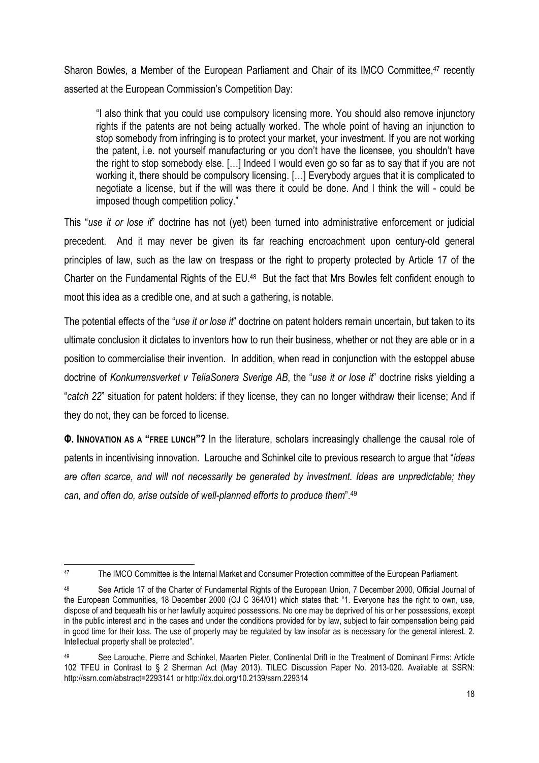Sharon Bowles, a Member of the European Parliament and Chair of its IMCO Committee,<sup>47</sup> recently asserted at the European Commission's Competition Day:

"I also think that you could use compulsory licensing more. You should also remove injunctory rights if the patents are not being actually worked. The whole point of having an injunction to stop somebody from infringing is to protect your market, your investment. If you are not working the patent, i.e. not yourself manufacturing or you don't have the licensee, you shouldn't have the right to stop somebody else. […] Indeed I would even go so far as to say that if you are not working it, there should be compulsory licensing. […] Everybody argues that it is complicated to negotiate a license, but if the will was there it could be done. And I think the will - could be imposed though competition policy."

This "*use it or lose it*" doctrine has not (yet) been turned into administrative enforcement or judicial precedent. And it may never be given its far reaching encroachment upon century-old general principles of law, such as the law on trespass or the right to property protected by Article 17 of the Charter on the Fundamental Rights of the EU.48 But the fact that Mrs Bowles felt confident enough to moot this idea as a credible one, and at such a gathering, is notable.

The potential effects of the "*use it or lose it*" doctrine on patent holders remain uncertain, but taken to its ultimate conclusion it dictates to inventors how to run their business, whether or not they are able or in a position to commercialise their invention. In addition, when read in conjunction with the estoppel abuse doctrine of *Konkurrensverket v TeliaSonera Sverige AB*, the "*use it or lose it*" doctrine risks yielding a "*catch 22*" situation for patent holders: if they license, they can no longer withdraw their license; And if they do not, they can be forced to license.

**Φ. INNOVATION AS A "FREE LUNCH"?** In the literature, scholars increasingly challenge the causal role of patents in incentivising innovation. Larouche and Schinkel cite to previous research to argue that "*ideas are often scarce, and will not necessarily be generated by investment. Ideas are unpredictable; they can, and often do, arise outside of well-planned efforts to produce them*".49

<sup>1</sup> 47 The IMCO Committee is the Internal Market and Consumer Protection committee of the European Parliament.

<sup>48</sup> See Article 17 of the Charter of Fundamental Rights of the European Union, 7 December 2000, Official Journal of the European Communities, 18 December 2000 (OJ C 364/01) which states that: "1. Everyone has the right to own, use, dispose of and bequeath his or her lawfully acquired possessions. No one may be deprived of his or her possessions, except in the public interest and in the cases and under the conditions provided for by law, subject to fair compensation being paid in good time for their loss. The use of property may be regulated by law insofar as is necessary for the general interest. 2. Intellectual property shall be protected".

See Larouche, Pierre and Schinkel, Maarten Pieter, Continental Drift in the Treatment of Dominant Firms: Article 102 TFEU in Contrast to § 2 Sherman Act (May 2013). TILEC Discussion Paper No. 2013-020. Available at SSRN: http://ssrn.com/abstract=2293141 or http://dx.doi.org/10.2139/ssrn.229314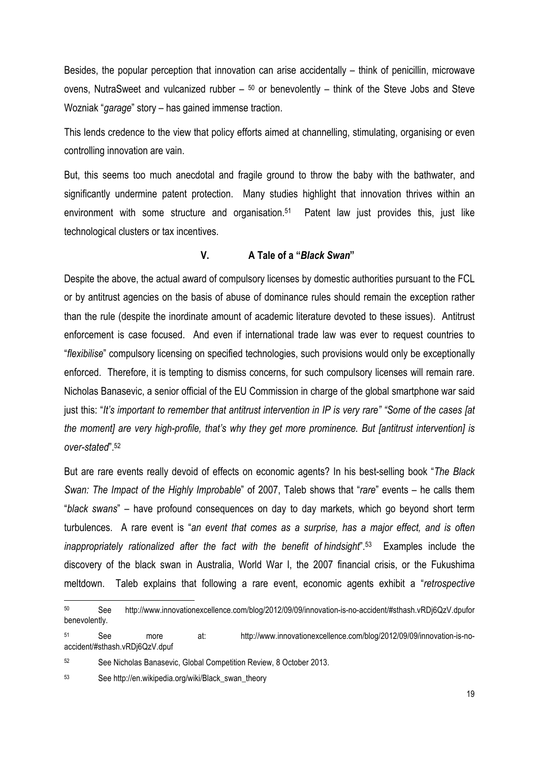Besides, the popular perception that innovation can arise accidentally – think of penicillin, microwave ovens, NutraSweet and vulcanized rubber  $-50$  or benevolently – think of the Steve Jobs and Steve Wozniak "*garage*" story – has gained immense traction.

This lends credence to the view that policy efforts aimed at channelling, stimulating, organising or even controlling innovation are vain.

But, this seems too much anecdotal and fragile ground to throw the baby with the bathwater, and significantly undermine patent protection. Many studies highlight that innovation thrives within an environment with some structure and organisation.<sup>51</sup> Patent law just provides this, just like technological clusters or tax incentives.

#### **V. A Tale of a "***Black Swan***"**

Despite the above, the actual award of compulsory licenses by domestic authorities pursuant to the FCL or by antitrust agencies on the basis of abuse of dominance rules should remain the exception rather than the rule (despite the inordinate amount of academic literature devoted to these issues). Antitrust enforcement is case focused. And even if international trade law was ever to request countries to "*flexibilise*" compulsory licensing on specified technologies, such provisions would only be exceptionally enforced. Therefore, it is tempting to dismiss concerns, for such compulsory licenses will remain rare. Nicholas Banasevic, a senior official of the EU Commission in charge of the global smartphone war said just this: "*It's important to remember that antitrust intervention in IP is very rare" "Some of the cases [at the moment] are very high-profile, that's why they get more prominence. But [antitrust intervention] is over-stated*".52

But are rare events really devoid of effects on economic agents? In his best-selling book "*The Black Swan: The Impact of the Highly Improbable*" of 2007, Taleb shows that "*rare*" events – he calls them "*black swans*" – have profound consequences on day to day markets, which go beyond short term turbulences. A rare event is "*an event that comes as a surprise, has a major effect, and is often inappropriately rationalized after the fact with the benefit of hindsight*".53 Examples include the discovery of the black swan in Australia, World War I, the 2007 financial crisis, or the Fukushima meltdown. Taleb explains that following a rare event, economic agents exhibit a "*retrospective* 

<sup>50</sup> See http://www.innovationexcellence.com/blog/2012/09/09/innovation-is-no-accident/#sthash.vRDj6QzV.dpufor benevolently.

<sup>51</sup> See more at: http://www.innovationexcellence.com/blog/2012/09/09/innovation-is-noaccident/#sthash.vRDj6QzV.dpuf

<sup>52</sup> See Nicholas Banasevic, Global Competition Review, 8 October 2013.

<sup>53</sup> See http://en.wikipedia.org/wiki/Black\_swan\_theory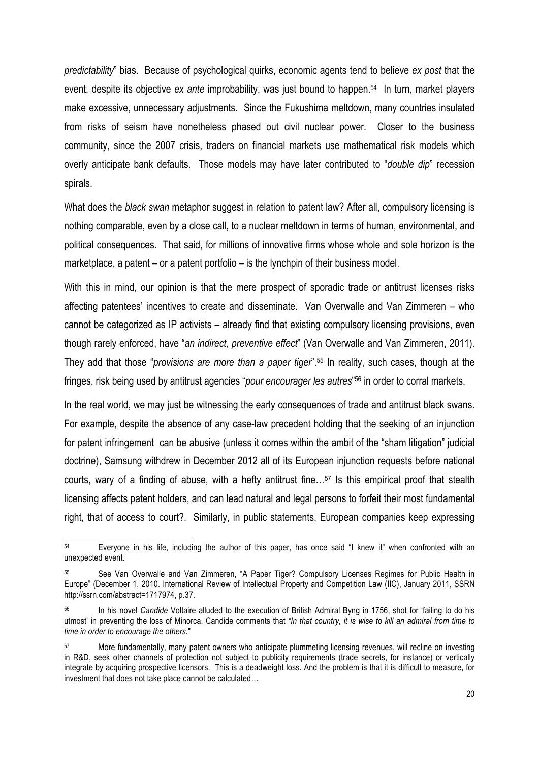*predictability*" bias. Because of psychological quirks, economic agents tend to believe *ex post* that the event, despite its objective *ex ante* improbability, was just bound to happen.54 In turn, market players make excessive, unnecessary adjustments. Since the Fukushima meltdown, many countries insulated from risks of seism have nonetheless phased out civil nuclear power. Closer to the business community, since the 2007 crisis, traders on financial markets use mathematical risk models which overly anticipate bank defaults. Those models may have later contributed to "*double dip*" recession spirals.

What does the *black swan* metaphor suggest in relation to patent law? After all, compulsory licensing is nothing comparable, even by a close call, to a nuclear meltdown in terms of human, environmental, and political consequences. That said, for millions of innovative firms whose whole and sole horizon is the marketplace, a patent – or a patent portfolio – is the lynchpin of their business model.

With this in mind, our opinion is that the mere prospect of sporadic trade or antitrust licenses risks affecting patentees' incentives to create and disseminate. Van Overwalle and Van Zimmeren – who cannot be categorized as IP activists – already find that existing compulsory licensing provisions, even though rarely enforced, have "*an indirect, preventive effect*" (Van Overwalle and Van Zimmeren, 2011). They add that those "*provisions are more than a paper tiger*".55 In reality, such cases, though at the fringes, risk being used by antitrust agencies "*pour encourager les autres*"56 in order to corral markets.

In the real world, we may just be witnessing the early consequences of trade and antitrust black swans. For example, despite the absence of any case-law precedent holding that the seeking of an injunction for patent infringement can be abusive (unless it comes within the ambit of the "sham litigation" judicial doctrine), Samsung withdrew in December 2012 all of its European injunction requests before national courts, wary of a finding of abuse, with a hefty antitrust fine…57 Is this empirical proof that stealth licensing affects patent holders, and can lead natural and legal persons to forfeit their most fundamental right, that of access to court?. Similarly, in public statements, European companies keep expressing

<sup>54</sup> Everyone in his life, including the author of this paper, has once said "I knew it" when confronted with an unexpected event.

<sup>55</sup> See Van Overwalle and Van Zimmeren, "A Paper Tiger? Compulsory Licenses Regimes for Public Health in Europe" (December 1, 2010. International Review of Intellectual Property and Competition Law (IIC), January 2011, SSRN http://ssrn.com/abstract=1717974, p.37.

<sup>56</sup> In his novel *Candide* Voltaire alluded to the execution of British Admiral Byng in 1756, shot for 'failing to do his utmost' in preventing the loss of Minorca. Candide comments that *"In that country, it is wise to kill an admiral from time to time in order to encourage the others*."

More fundamentally, many patent owners who anticipate plummeting licensing revenues, will recline on investing in R&D, seek other channels of protection not subject to publicity requirements (trade secrets, for instance) or vertically integrate by acquiring prospective licensors. This is a deadweight loss. And the problem is that it is difficult to measure, for investment that does not take place cannot be calculated…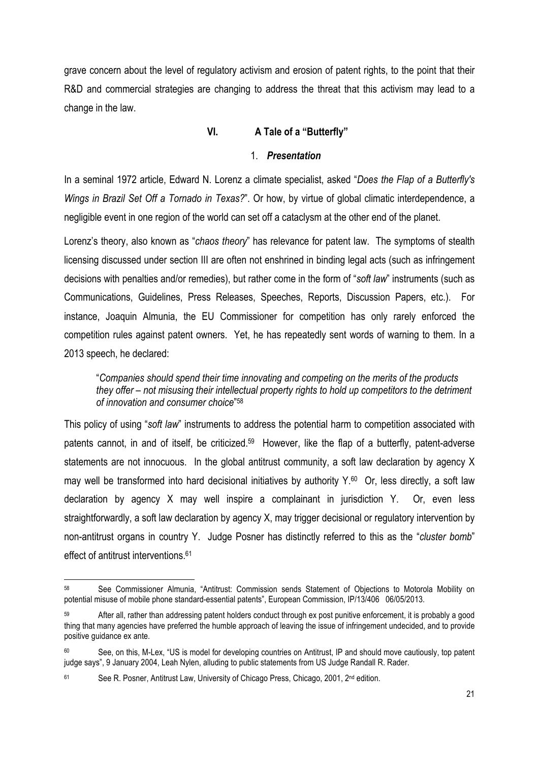grave concern about the level of regulatory activism and erosion of patent rights, to the point that their R&D and commercial strategies are changing to address the threat that this activism may lead to a change in the law.

# **VI. A Tale of a "Butterfly"**

#### 1. *Presentation*

In a seminal 1972 article, Edward N. Lorenz a climate specialist, asked "*Does the Flap of a Butterfly's Wings in Brazil Set Off a Tornado in Texas?*". Or how, by virtue of global climatic interdependence, a negligible event in one region of the world can set off a cataclysm at the other end of the planet.

Lorenz's theory, also known as "*chaos theory*" has relevance for patent law. The symptoms of stealth licensing discussed under section III are often not enshrined in binding legal acts (such as infringement decisions with penalties and/or remedies), but rather come in the form of "*soft law*" instruments (such as Communications, Guidelines, Press Releases, Speeches, Reports, Discussion Papers, etc.). For instance, Joaquin Almunia, the EU Commissioner for competition has only rarely enforced the competition rules against patent owners. Yet, he has repeatedly sent words of warning to them. In a 2013 speech, he declared:

"*Companies should spend their time innovating and competing on the merits of the products they offer – not misusing their intellectual property rights to hold up competitors to the detriment of innovation and consumer choice*"58

This policy of using "*soft law*" instruments to address the potential harm to competition associated with patents cannot, in and of itself, be criticized.<sup>59</sup> However, like the flap of a butterfly, patent-adverse statements are not innocuous. In the global antitrust community, a soft law declaration by agency X may well be transformed into hard decisional initiatives by authority  $Y_{.60}$  Or, less directly, a soft law declaration by agency X may well inspire a complainant in jurisdiction Y. Or, even less straightforwardly, a soft law declaration by agency X, may trigger decisional or regulatory intervention by non-antitrust organs in country Y. Judge Posner has distinctly referred to this as the "*cluster bomb*" effect of antitrust interventions.<sup>61</sup>

<sup>58</sup> See Commissioner Almunia, "Antitrust: Commission sends Statement of Objections to Motorola Mobility on potential misuse of mobile phone standard-essential patents", European Commission, IP/13/406 06/05/2013.

After all, rather than addressing patent holders conduct through ex post punitive enforcement, it is probably a good thing that many agencies have preferred the humble approach of leaving the issue of infringement undecided, and to provide positive guidance ex ante.

See, on this, M-Lex, "US is model for developing countries on Antitrust, IP and should move cautiously, top patent judge says", 9 January 2004, Leah Nylen, alluding to public statements from US Judge Randall R. Rader.

<sup>61</sup> See R. Posner, Antitrust Law, University of Chicago Press, Chicago, 2001, 2<sup>nd</sup> edition.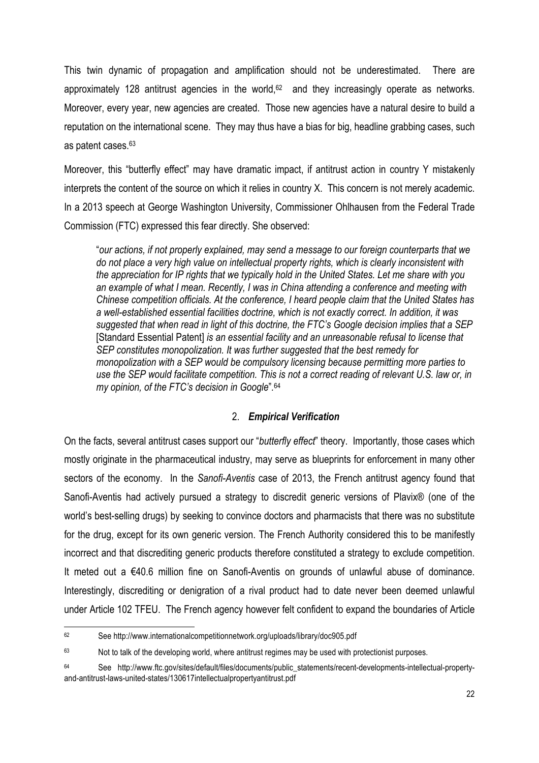This twin dynamic of propagation and amplification should not be underestimated. There are approximately 128 antitrust agencies in the world, $62$  and they increasingly operate as networks. Moreover, every year, new agencies are created. Those new agencies have a natural desire to build a reputation on the international scene. They may thus have a bias for big, headline grabbing cases, such as patent cases.63

Moreover, this "butterfly effect" may have dramatic impact, if antitrust action in country Y mistakenly interprets the content of the source on which it relies in country X. This concern is not merely academic. In a 2013 speech at George Washington University, Commissioner Ohlhausen from the Federal Trade Commission (FTC) expressed this fear directly. She observed:

"*our actions, if not properly explained, may send a message to our foreign counterparts that we do not place a very high value on intellectual property rights, which is clearly inconsistent with the appreciation for IP rights that we typically hold in the United States. Let me share with you an example of what I mean. Recently, I was in China attending a conference and meeting with Chinese competition officials. At the conference, I heard people claim that the United States has a well-established essential facilities doctrine, which is not exactly correct. In addition, it was suggested that when read in light of this doctrine, the FTC's Google decision implies that a SEP*  [Standard Essential Patent] *is an essential facility and an unreasonable refusal to license that SEP constitutes monopolization. It was further suggested that the best remedy for monopolization with a SEP would be compulsory licensing because permitting more parties to use the SEP would facilitate competition. This is not a correct reading of relevant U.S. law or, in my opinion, of the FTC's decision in Google*"*.* 64

#### 2. *Empirical Verification*

On the facts, several antitrust cases support our "*butterfly effect*" theory. Importantly, those cases which mostly originate in the pharmaceutical industry, may serve as blueprints for enforcement in many other sectors of the economy. In the *Sanofi-Aventis* case of 2013, the French antitrust agency found that Sanofi-Aventis had actively pursued a strategy to discredit generic versions of Plavix® (one of the world's best-selling drugs) by seeking to convince doctors and pharmacists that there was no substitute for the drug, except for its own generic version. The French Authority considered this to be manifestly incorrect and that discrediting generic products therefore constituted a strategy to exclude competition. It meted out a €40.6 million fine on Sanofi-Aventis on grounds of unlawful abuse of dominance. Interestingly, discrediting or denigration of a rival product had to date never been deemed unlawful under Article 102 TFEU. The French agency however felt confident to expand the boundaries of Article

<sup>62</sup> See http://www.internationalcompetitionnetwork.org/uploads/library/doc905.pdf

 $63$  Not to talk of the developing world, where antitrust regimes may be used with protectionist purposes.

<sup>64</sup> See http://www.ftc.gov/sites/default/files/documents/public\_statements/recent-developments-intellectual-propertyand-antitrust-laws-united-states/130617intellectualpropertyantitrust.pdf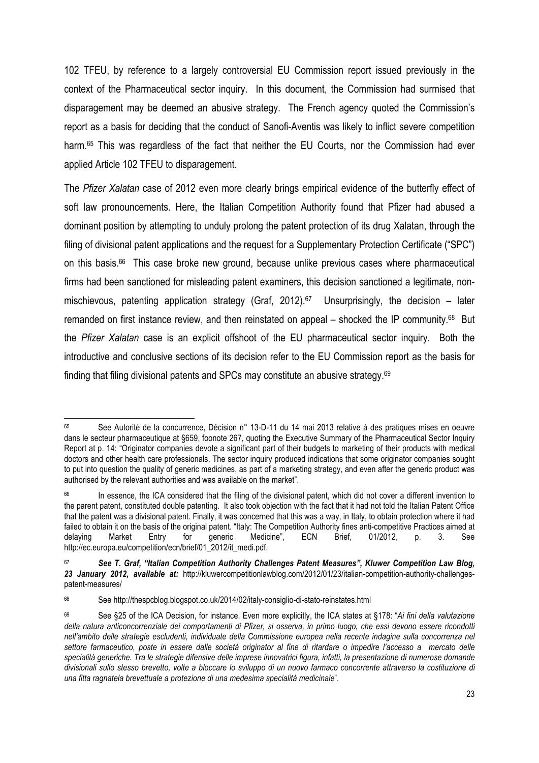102 TFEU, by reference to a largely controversial EU Commission report issued previously in the context of the Pharmaceutical sector inquiry. In this document, the Commission had surmised that disparagement may be deemed an abusive strategy. The French agency quoted the Commission's report as a basis for deciding that the conduct of Sanofi-Aventis was likely to inflict severe competition harm.<sup>65</sup> This was regardless of the fact that neither the EU Courts, nor the Commission had ever applied Article 102 TFEU to disparagement.

The *Pfizer Xalatan* case of 2012 even more clearly brings empirical evidence of the butterfly effect of soft law pronouncements. Here, the Italian Competition Authority found that Pfizer had abused a dominant position by attempting to unduly prolong the patent protection of its drug Xalatan, through the filing of divisional patent applications and the request for a Supplementary Protection Certificate ("SPC") on this basis.66 This case broke new ground, because unlike previous cases where pharmaceutical firms had been sanctioned for misleading patent examiners, this decision sanctioned a legitimate, nonmischievous, patenting application strategy (Graf, 2012).<sup>67</sup> Unsurprisingly, the decision – later remanded on first instance review, and then reinstated on appeal – shocked the IP community.68 But the *Pfizer Xalatan* case is an explicit offshoot of the EU pharmaceutical sector inquiry. Both the introductive and conclusive sections of its decision refer to the EU Commission report as the basis for finding that filing divisional patents and SPCs may constitute an abusive strategy.69

<sup>65</sup> See Autorité de la concurrence, Décision n° 13-D-11 du 14 mai 2013 relative à des pratiques mises en oeuvre dans le secteur pharmaceutique at §659, foonote 267, quoting the Executive Summary of the Pharmaceutical Sector Inquiry Report at p. 14: "Originator companies devote a significant part of their budgets to marketing of their products with medical doctors and other health care professionals. The sector inquiry produced indications that some originator companies sought to put into question the quality of generic medicines, as part of a marketing strategy, and even after the generic product was authorised by the relevant authorities and was available on the market".

<sup>&</sup>lt;sup>66</sup> In essence, the ICA considered that the filing of the divisional patent, which did not cover a different invention to the parent patent, constituted double patenting. It also took objection with the fact that it had not told the Italian Patent Office that the patent was a divisional patent. Finally, it was concerned that this was a way, in Italy, to obtain protection where it had failed to obtain it on the basis of the original patent. "Italy: The Competition Authority fines anti-competitive Practices aimed at delaying Market Entry for generic Medicine", ECN Brief, 01/2012, p. 3. See http://ec.europa.eu/competition/ecn/brief/01\_2012/it\_medi.pdf.

<sup>67</sup> *See T. Graf, "Italian Competition Authority Challenges Patent Measures", Kluwer Competition Law Blog, 23 January 2012, available at:* http://kluwercompetitionlawblog.com/2012/01/23/italian-competition-authority-challengespatent-measures/

<sup>68</sup> See http://thespcblog.blogspot.co.uk/2014/02/italy-consiglio-di-stato-reinstates.html

<sup>69</sup> See §25 of the ICA Decision, for instance. Even more explicitly, the ICA states at §178: "*Ai fini della valutazione della natura anticoncorrenziale dei comportamenti di Pfizer, si osserva, in primo luogo, che essi devono essere ricondotti nell'ambito delle strategie escludenti, individuate della Commissione europea nella recente indagine sulla concorrenza nel settore farmaceutico, poste in essere dalle società originator al fine di ritardare o impedire l'accesso a mercato delle specialità generiche. Tra le strategie difensive delle imprese innovatrici figura, infatti, la presentazione di numerose domande divisionali sullo stesso brevetto, volte a bloccare lo sviluppo di un nuovo farmaco concorrente attraverso la costituzione di una fitta ragnatela brevettuale a protezione di una medesima specialità medicinale*".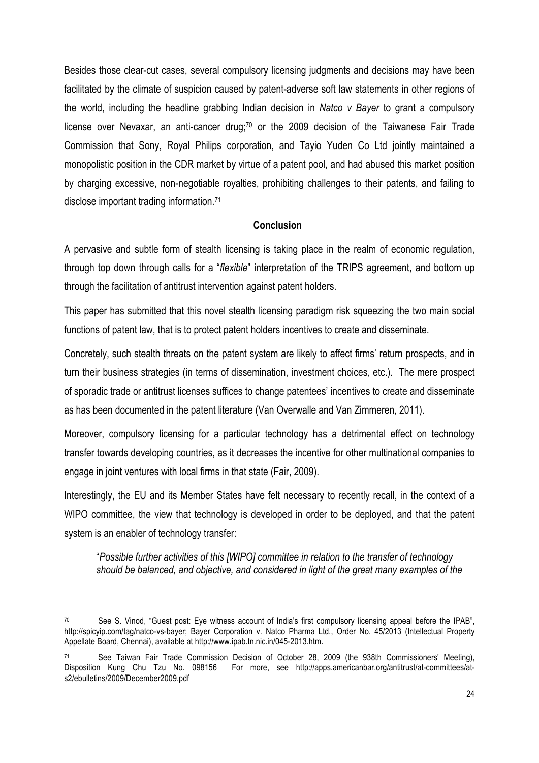Besides those clear-cut cases, several compulsory licensing judgments and decisions may have been facilitated by the climate of suspicion caused by patent-adverse soft law statements in other regions of the world, including the headline grabbing Indian decision in *Natco v Bayer* to grant a compulsory license over Nevaxar, an anti-cancer drug; $70$  or the 2009 decision of the Taiwanese Fair Trade Commission that Sony, Royal Philips corporation, and Tayio Yuden Co Ltd jointly maintained a monopolistic position in the CDR market by virtue of a patent pool, and had abused this market position by charging excessive, non-negotiable royalties, prohibiting challenges to their patents, and failing to disclose important trading information.71

# **Conclusion**

A pervasive and subtle form of stealth licensing is taking place in the realm of economic regulation, through top down through calls for a "*flexible*" interpretation of the TRIPS agreement, and bottom up through the facilitation of antitrust intervention against patent holders.

This paper has submitted that this novel stealth licensing paradigm risk squeezing the two main social functions of patent law, that is to protect patent holders incentives to create and disseminate.

Concretely, such stealth threats on the patent system are likely to affect firms' return prospects, and in turn their business strategies (in terms of dissemination, investment choices, etc.). The mere prospect of sporadic trade or antitrust licenses suffices to change patentees' incentives to create and disseminate as has been documented in the patent literature (Van Overwalle and Van Zimmeren, 2011).

Moreover, compulsory licensing for a particular technology has a detrimental effect on technology transfer towards developing countries, as it decreases the incentive for other multinational companies to engage in joint ventures with local firms in that state (Fair, 2009).

Interestingly, the EU and its Member States have felt necessary to recently recall, in the context of a WIPO committee, the view that technology is developed in order to be deployed, and that the patent system is an enabler of technology transfer:

"*Possible further activities of this [WIPO] committee in relation to the transfer of technology should be balanced, and objective, and considered in light of the great many examples of the* 

<sup>70</sup> See S. Vinod, "Guest post: Eye witness account of India's first compulsory licensing appeal before the IPAB", http://spicyip.com/tag/natco-vs-bayer; Bayer Corporation v. Natco Pharma Ltd., Order No. 45/2013 (Intellectual Property Appellate Board, Chennai), available at http://www.ipab.tn.nic.in/045-2013.htm.

See Taiwan Fair Trade Commission Decision of October 28, 2009 (the 938th Commissioners' Meeting), Disposition Kung Chu Tzu No. 098156 For more, see http://apps.americanbar.org/antitrust/at-committees/ats2/ebulletins/2009/December2009.pdf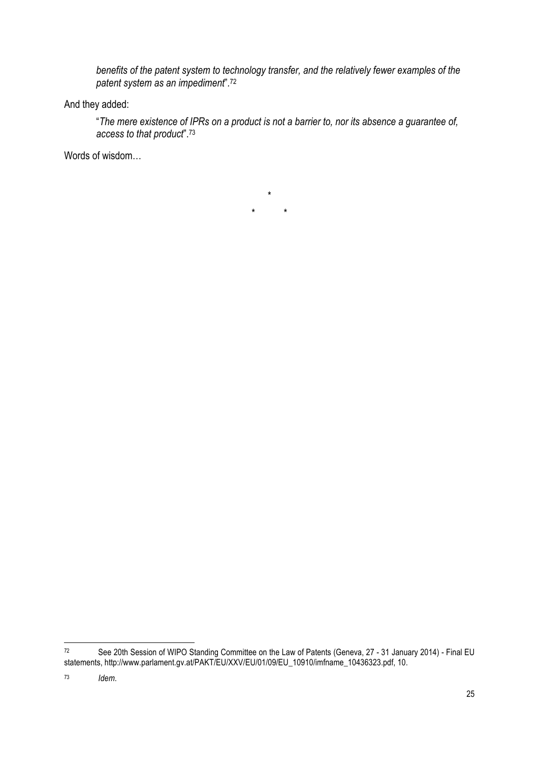*benefits of the patent system to technology transfer, and the relatively fewer examples of the patent system as an impediment*"*.* 72

And they added:

"*The mere existence of IPRs on a product is not a barrier to, nor its absence a guarantee of, access to that product*".73

Words of wisdom…

\* \* \*

 $72$ See 20th Session of WIPO Standing Committee on the Law of Patents (Geneva, 27 - 31 January 2014) - Final EU statements, http://www.parlament.gv.at/PAKT/EU/XXV/EU/01/09/EU\_10910/imfname\_10436323.pdf, 10.

<sup>73</sup> *Idem*.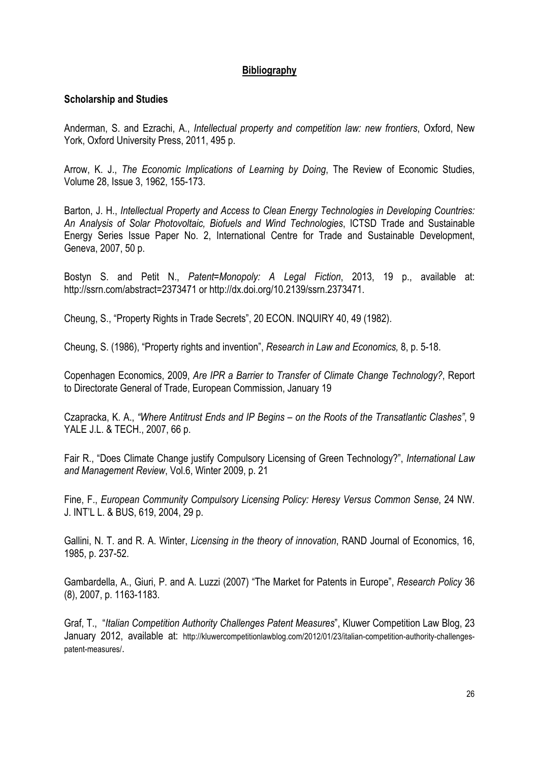# **Bibliography**

# **Scholarship and Studies**

Anderman, S. and Ezrachi, A., *Intellectual property and competition law: new frontiers*, Oxford, New York, Oxford University Press, 2011, 495 p.

Arrow, K. J., *The Economic Implications of Learning by Doing*, The Review of Economic Studies, Volume 28, Issue 3, 1962, 155-173.

Barton, J. H., *Intellectual Property and Access to Clean Energy Technologies in Developing Countries: An Analysis of Solar Photovoltaic, Biofuels and Wind Technologies*, ICTSD Trade and Sustainable Energy Series Issue Paper No. 2, International Centre for Trade and Sustainable Development, Geneva, 2007, 50 p.

Bostyn S. and Petit N., *Patent=Monopoly: A Legal Fiction*, 2013, 19 p., available at: http://ssrn.com/abstract=2373471 or http://dx.doi.org/10.2139/ssrn.2373471.

Cheung, S., "Property Rights in Trade Secrets", 20 ECON. INQUIRY 40, 49 (1982).

Cheung, S. (1986), "Property rights and invention", *Research in Law and Economics,* 8, p. 5-18.

Copenhagen Economics, 2009, *Are IPR a Barrier to Transfer of Climate Change Technology?*, Report to Directorate General of Trade, European Commission, January 19

Czapracka, K. A., *"Where Antitrust Ends and IP Begins – on the Roots of the Transatlantic Clashes"*, 9 YALE J.L. & TECH., 2007, 66 p.

Fair R., "Does Climate Change justify Compulsory Licensing of Green Technology?", *International Law and Management Review*, Vol.6, Winter 2009, p. 21

Fine, F., *European Community Compulsory Licensing Policy: Heresy Versus Common Sense*, 24 NW. J. INT'L L. & BUS, 619, 2004, 29 p.

Gallini, N. T. and R. A. Winter, *Licensing in the theory of innovation*, RAND Journal of Economics, 16, 1985, p. 237-52.

Gambardella, A., Giuri, P. and A. Luzzi (2007) "The Market for Patents in Europe", *Research Policy* 36 (8), 2007, p. 1163-1183.

Graf, T., "*Italian Competition Authority Challenges Patent Measures*", Kluwer Competition Law Blog, 23 January 2012, available at: http://kluwercompetitionlawblog.com/2012/01/23/italian-competition-authority-challengespatent-measures/.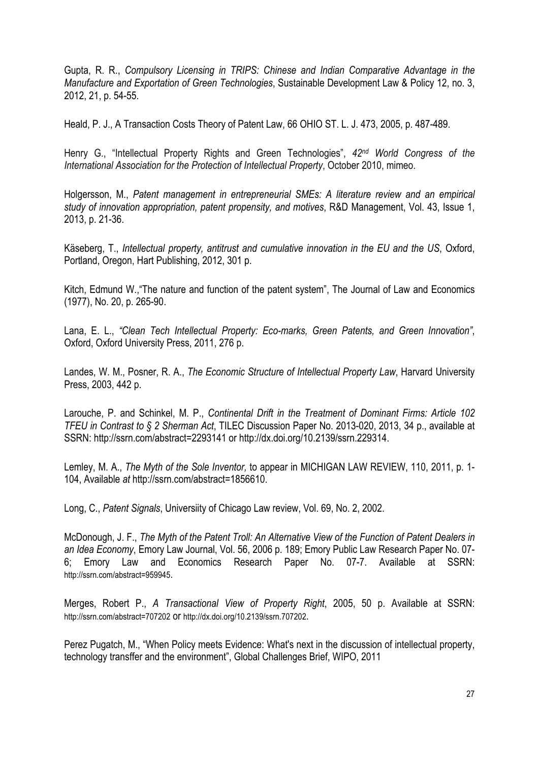Gupta, R. R., *Compulsory Licensing in TRIPS: Chinese and Indian Comparative Advantage in the Manufacture and Exportation of Green Technologies*, Sustainable Development Law & Policy 12, no. 3, 2012, 21, p. 54-55.

Heald, P. J., A Transaction Costs Theory of Patent Law, 66 OHIO ST. L. J. 473, 2005, p. 487-489.

Henry G., "Intellectual Property Rights and Green Technologies", *42nd World Congress of the International Association for the Protection of Intellectual Property*, October 2010, mimeo.

Holgersson, M., *Patent management in entrepreneurial SMEs: A literature review and an empirical study of innovation appropriation, patent propensity, and motives*, R&D Management, Vol. 43, Issue 1, 2013, p. 21-36.

Käseberg, T., *Intellectual property, antitrust and cumulative innovation in the EU and the US*, Oxford, Portland, Oregon, Hart Publishing, 2012, 301 p.

Kitch, Edmund W.,"The nature and function of the patent system", The Journal of Law and Economics (1977), No. 20, p. 265-90.

Lana, E. L., *"Clean Tech Intellectual Property: Eco-marks, Green Patents, and Green Innovation"*, Oxford, Oxford University Press, 2011, 276 p.

Landes, W. M., Posner, R. A., *The Economic Structure of Intellectual Property Law*, Harvard University Press, 2003, 442 p.

Larouche, P. and Schinkel, M. P., *Continental Drift in the Treatment of Dominant Firms: Article 102 TFEU in Contrast to § 2 Sherman Act*, TILEC Discussion Paper No. 2013-020, 2013, 34 p., available at SSRN: http://ssrn.com/abstract=2293141 or http://dx.doi.org/10.2139/ssrn.229314.

Lemley, M. A., *The Myth of the Sole Inventor,* to appear in MICHIGAN LAW REVIEW, 110, 2011, p. 1- 104, Available *at* http://ssrn.com/abstract=1856610.

Long, C., *Patent Signals*, Universiity of Chicago Law review, Vol. 69, No. 2, 2002.

McDonough, J. F., *The Myth of the Patent Troll: An Alternative View of the Function of Patent Dealers in an Idea Economy*, Emory Law Journal, Vol. 56, 2006 p. 189; Emory Public Law Research Paper No. 07- 6; Emory Law and Economics Research Paper No. 07-7. Available at SSRN: http://ssrn.com/abstract=959945.

Merges, Robert P., *A Transactional View of Property Right*, 2005, 50 p. Available at SSRN: http://ssrn.com/abstract=707202 or http://dx.doi.org/10.2139/ssrn.707202.

Perez Pugatch, M., "When Policy meets Evidence: What's next in the discussion of intellectual property, technology transffer and the environment", Global Challenges Brief, WIPO, 2011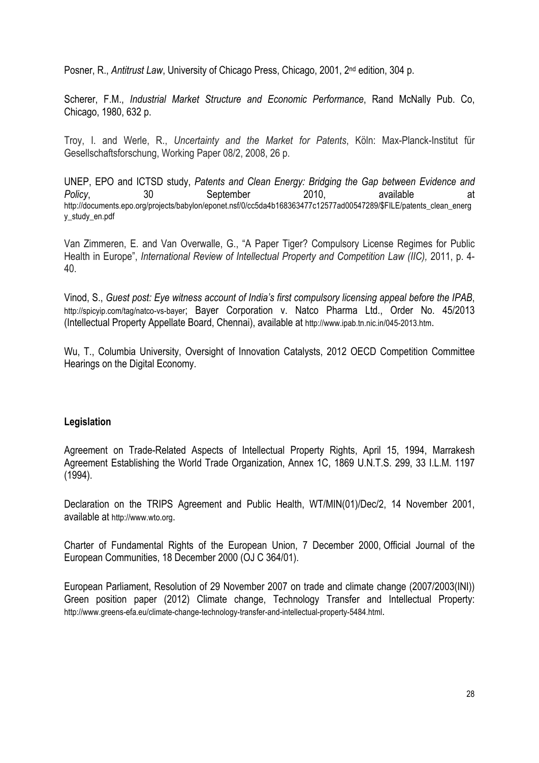Posner, R., *Antitrust Law*, University of Chicago Press, Chicago, 2001, 2<sup>nd</sup> edition, 304 p.

Scherer, F.M., *Industrial Market Structure and Economic Performance*, Rand McNally Pub. Co, Chicago, 1980, 632 p.

Troy, I. and Werle, R., *Uncertainty and the Market for Patents*, Köln: Max-Planck-Institut für Gesellschaftsforschung, Working Paper 08/2, 2008, 26 p.

UNEP, EPO and ICTSD study, *Patents and Clean Energy: Bridging the Gap between Evidence and*  Policy, 30 September 2010, available at http://documents.epo.org/projects/babylon/eponet.nsf/0/cc5da4b168363477c12577ad00547289/\$FILE/patents\_clean\_energ y\_study\_en.pdf

Van Zimmeren, E. and Van Overwalle, G., "A Paper Tiger? Compulsory License Regimes for Public Health in Europe", *International Review of Intellectual Property and Competition Law (IIC)*, 2011, p. 4-40.

Vinod, S., *Guest post: Eye witness account of India's first compulsory licensing appeal before the IPAB*, http://spicyip.com/tag/natco-vs-bayer; Bayer Corporation v. Natco Pharma Ltd., Order No. 45/2013 (Intellectual Property Appellate Board, Chennai), available at http://www.ipab.tn.nic.in/045-2013.htm.

Wu, T., Columbia University, Oversight of Innovation Catalysts, 2012 OECD Competition Committee Hearings on the Digital Economy.

# **Legislation**

Agreement on Trade-Related Aspects of Intellectual Property Rights, April 15, 1994, Marrakesh Agreement Establishing the World Trade Organization, Annex 1C, 1869 U.N.T.S. 299, 33 I.L.M. 1197 (1994).

Declaration on the TRIPS Agreement and Public Health, WT/MIN(01)/Dec/2, 14 November 2001, available at http://www.wto.org.

Charter of Fundamental Rights of the European Union, 7 December 2000, Official Journal of the European Communities, 18 December 2000 (OJ C 364/01).

European Parliament, Resolution of 29 November 2007 on trade and climate change (2007/2003(INI)) Green position paper (2012) Climate change, Technology Transfer and Intellectual Property: http://www.greens-efa.eu/climate-change-technology-transfer-and-intellectual-property-5484.html.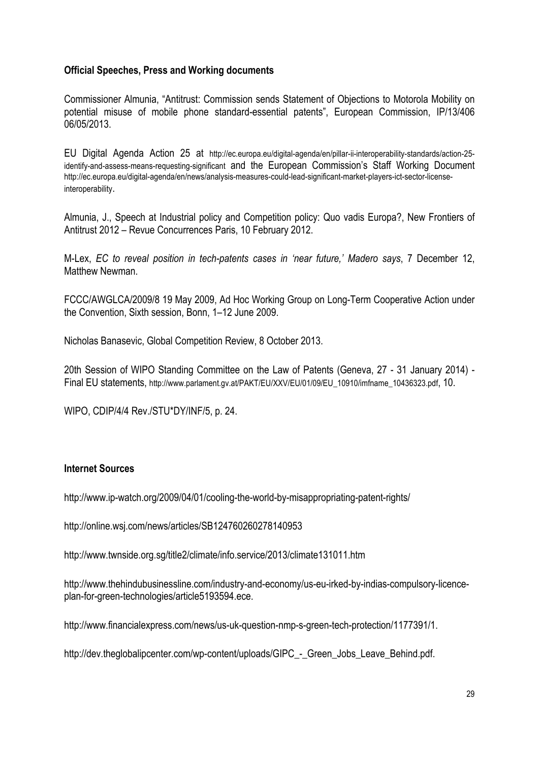# **Official Speeches, Press and Working documents**

Commissioner Almunia, "Antitrust: Commission sends Statement of Objections to Motorola Mobility on potential misuse of mobile phone standard-essential patents", European Commission, IP/13/406 06/05/2013.

EU Digital Agenda Action 25 at http://ec.europa.eu/digital-agenda/en/pillar-ii-interoperability-standards/action-25 identify-and-assess-means-requesting-significant and the European Commission's Staff Working Document http://ec.europa.eu/digital-agenda/en/news/analysis-measures-could-lead-significant-market-players-ict-sector-licenseinteroperability.

Almunia, J., Speech at Industrial policy and Competition policy: Quo vadis Europa?, New Frontiers of Antitrust 2012 – Revue Concurrences Paris, 10 February 2012.

M-Lex, *EC to reveal position in tech-patents cases in 'near future,' Madero says*, 7 December 12, Matthew Newman.

FCCC/AWGLCA/2009/8 19 May 2009, Ad Hoc Working Group on Long-Term Cooperative Action under the Convention, Sixth session, Bonn, 1–12 June 2009.

Nicholas Banasevic, Global Competition Review, 8 October 2013.

20th Session of WIPO Standing Committee on the Law of Patents (Geneva, 27 - 31 January 2014) - Final EU statements, http://www.parlament.gv.at/PAKT/EU/XXV/EU/01/09/EU 10910/imfname\_10436323.pdf, 10.

WIPO, CDIP/4/4 Rev./STU\*DY/INF/5, p. 24.

#### **Internet Sources**

http://www.ip-watch.org/2009/04/01/cooling-the-world-by-misappropriating-patent-rights/

http://online.wsj.com/news/articles/SB124760260278140953

http://www.twnside.org.sg/title2/climate/info.service/2013/climate131011.htm

http://www.thehindubusinessline.com/industry-and-economy/us-eu-irked-by-indias-compulsory-licenceplan-for-green-technologies/article5193594.ece.

http://www.financialexpress.com/news/us-uk-question-nmp-s-green-tech-protection/1177391/1.

http://dev.theglobalipcenter.com/wp-content/uploads/GIPC - Green Jobs Leave Behind.pdf.